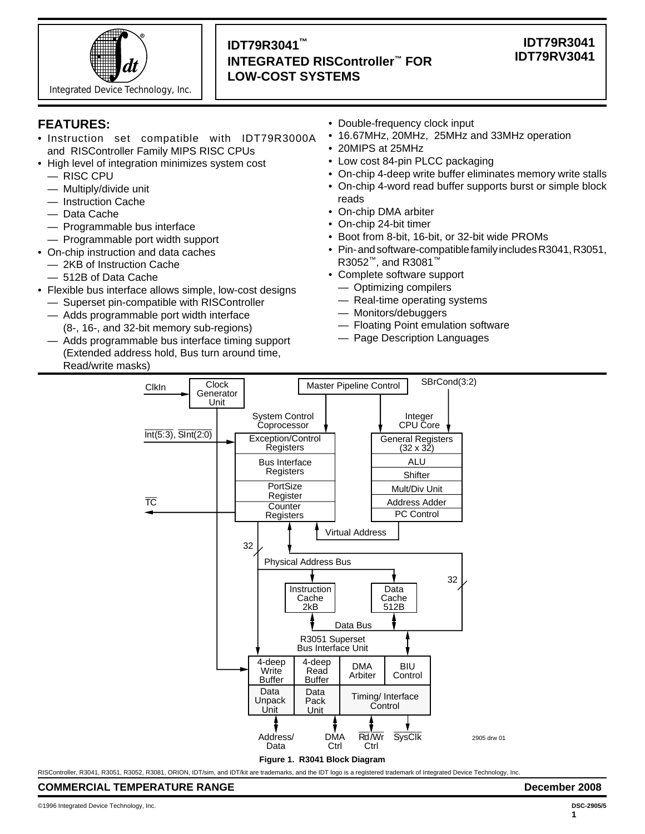

# **IDT79R3041™ INTEGRATED RISController™ FOR LOW-COST SYSTEMS**

# **IDT79R3041 IDT79RV3041**

# **FEATURES:**

- Instruction set compatible with IDT79R3000A and RISController Family MIPS RISC CPUs
- High level of integration minimizes system cost
	- RISC CPU
	- Multiply/divide unit
	- Instruction Cache
	- Data Cache
	- Programmable bus interface
	- Programmable port width support
- On-chip instruction and data caches
	- 2KB of Instruction Cache
	- 512B of Data Cache
- Flexible bus interface allows simple, low-cost designs
	- Superset pin-compatible with RISController
	- Adds programmable port width interface (8-, 16-, and 32-bit memory sub-regions)
	- Adds programmable bus interface timing support (Extended address hold, Bus turn around time, Read/write masks)
- Double-frequency clock input
- 16.67MHz, 20MHz, 25MHz and 33MHz operation
- 20MIPS at 25MHz
- Low cost 84-pin PLCC packaging
- On-chip 4-deep write buffer eliminates memory write stalls
- On-chip 4-word read buffer supports burst or simple block reads
- On-chip DMA arbiter
- On-chip 24-bit timer
- Boot from 8-bit, 16-bit, or 32-bit wide PROMs
- Pin- and software-compatible family includes R3041, R3051, R3052™, and R3081™
- Complete software support
	- Optimizing compilers
	- Real-time operating systems
	- Monitors/debuggers
	- Floating Point emulation software
- Page Description Languages



RISController, R3041, R3051, R3052, R3081, ORION, IDT/sim, and IDT/kit are trademarks, and the IDT logo is a registered trademark of Integrated Device Technology, Inc.

**COMMERCIAL TEMPERATURE RANGE December 2008**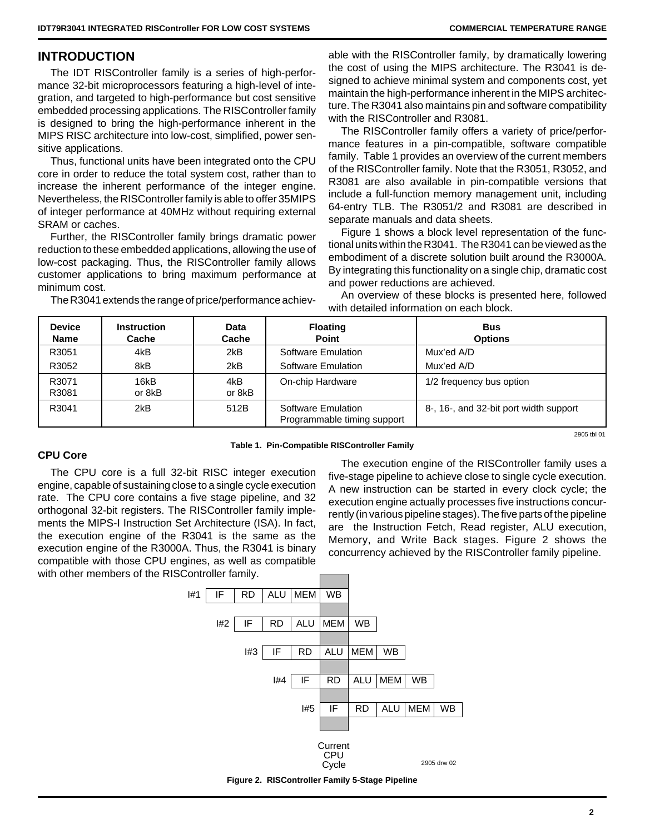# **INTRODUCTION**

The IDT RISController family is a series of high-performance 32-bit microprocessors featuring a high-level of integration, and targeted to high-performance but cost sensitive embedded processing applications. The RISController family is designed to bring the high-performance inherent in the MIPS RISC architecture into low-cost, simplified, power sensitive applications.

Thus, functional units have been integrated onto the CPU core in order to reduce the total system cost, rather than to increase the inherent performance of the integer engine. Nevertheless, the RISController family is able to offer 35MIPS of integer performance at 40MHz without requiring external SRAM or caches.

Further, the RISController family brings dramatic power reduction to these embedded applications, allowing the use of low-cost packaging. Thus, the RISController family allows customer applications to bring maximum performance at minimum cost.

The R3041 extends the range of price/performance achiev-

able with the RISController family, by dramatically lowering the cost of using the MIPS architecture. The R3041 is designed to achieve minimal system and components cost, yet maintain the high-performance inherent in the MIPS architecture. The R3041 also maintains pin and software compatibility with the RISController and R3081.

The RISController family offers a variety of price/performance features in a pin-compatible, software compatible family. Table 1 provides an overview of the current members of the RISController family. Note that the R3051, R3052, and R3081 are also available in pin-compatible versions that include a full-function memory management unit, including 64-entry TLB. The R3051/2 and R3081 are described in separate manuals and data sheets.

Figure 1 shows a block level representation of the functional units within the R3041. The R3041 can be viewed as the embodiment of a discrete solution built around the R3000A. By integrating this functionality on a single chip, dramatic cost and power reductions are achieved.

An overview of these blocks is presented here, followed with detailed information on each block.

| <b>Device</b><br>Name | <b>Instruction</b><br>Cache | Data<br>Cache | <b>Floating</b><br><b>Point</b>                   | <b>Bus</b><br><b>Options</b>           |
|-----------------------|-----------------------------|---------------|---------------------------------------------------|----------------------------------------|
| R3051                 | 4kB                         | 2kB           | Software Emulation                                | Mux'ed A/D                             |
| R3052                 | 8kB                         | 2kB           | Software Emulation                                | Mux'ed A/D                             |
| R3071<br>R3081        | 16kB<br>or 8kB              | 4kB<br>or 8kB | On-chip Hardware                                  | 1/2 frequency bus option               |
| R3041                 | 2kB                         | 512B          | Software Emulation<br>Programmable timing support | 8-, 16-, and 32-bit port width support |
|                       |                             |               |                                                   | 2905 thl 01                            |

**Table 1. Pin-Compatible RISController Family**

# **CPU Core**

The CPU core is a full 32-bit RISC integer execution engine, capable of sustaining close to a single cycle execution rate. The CPU core contains a five stage pipeline, and 32 orthogonal 32-bit registers. The RISController family implements the MIPS-I Instruction Set Architecture (ISA). In fact, the execution engine of the R3041 is the same as the execution engine of the R3000A. Thus, the R3041 is binary compatible with those CPU engines, as well as compatible with other members of the RISController family.

The execution engine of the RISController family uses a five-stage pipeline to achieve close to single cycle execution. A new instruction can be started in every clock cycle; the execution engine actually processes five instructions concurrently (in various pipeline stages). The five parts of the pipeline are the Instruction Fetch, Read register, ALU execution, Memory, and Write Back stages. Figure 2 shows the concurrency achieved by the RISController family pipeline.

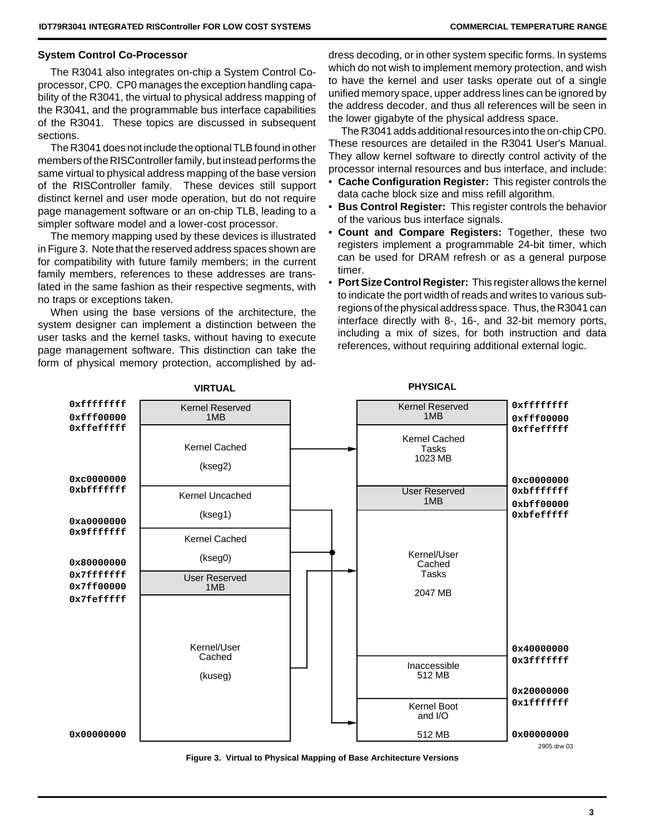# **System Control Co-Processor**

The R3041 also integrates on-chip a System Control Coprocessor, CP0. CP0 manages the exception handling capability of the R3041, the virtual to physical address mapping of the R3041, and the programmable bus interface capabilities of the R3041. These topics are discussed in subsequent sections.

The R3041 does not include the optional TLB found in other members of the RISController family, but instead performs the same virtual to physical address mapping of the base version of the RISController family. These devices still support distinct kernel and user mode operation, but do not require page management software or an on-chip TLB, leading to a simpler software model and a lower-cost processor.

The memory mapping used by these devices is illustrated in Figure 3. Note that the reserved address spaces shown are for compatibility with future family members; in the current family members, references to these addresses are translated in the same fashion as their respective segments, with no traps or exceptions taken.

When using the base versions of the architecture, the system designer can implement a distinction between the user tasks and the kernel tasks, without having to execute page management software. This distinction can take the form of physical memory protection, accomplished by address decoding, or in other system specific forms. In systems which do not wish to implement memory protection, and wish to have the kernel and user tasks operate out of a single unified memory space, upper address lines can be ignored by the address decoder, and thus all references will be seen in the lower gigabyte of the physical address space.

The R3041 adds additional resources into the on-chip CP0. These resources are detailed in the R3041 User's Manual. They allow kernel software to directly control activity of the processor internal resources and bus interface, and include:

- **Cache Configuration Register:** This register controls the data cache block size and miss refill algorithm.
- **Bus Control Register:** This register controls the behavior of the various bus interface signals.
- **Count and Compare Registers:** Together, these two registers implement a programmable 24-bit timer, which can be used for DRAM refresh or as a general purpose timer.
- **Port Size Control Register:** This register allows the kernel to indicate the port width of reads and writes to various subregions of the physical address space. Thus, the R3041 can interface directly with 8-, 16-, and 32-bit memory ports, including a mix of sizes, for both instruction and data references, without requiring additional external logic.



**Figure 3. Virtual to Physical Mapping of Base Architecture Versions**



**VIRTUAL PHYSICAL**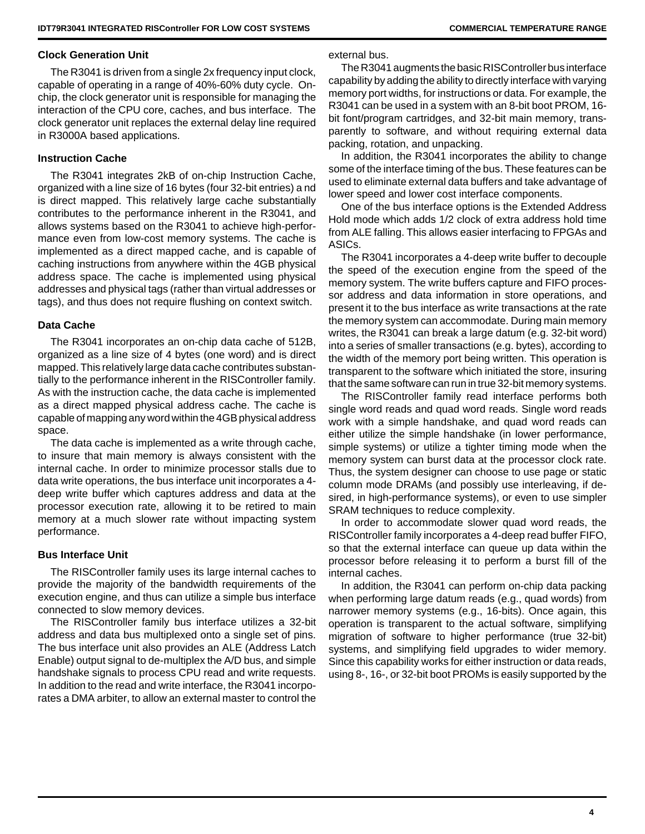## **Clock Generation Unit**

The R3041 is driven from a single 2x frequency input clock, capable of operating in a range of 40%-60% duty cycle. Onchip, the clock generator unit is responsible for managing the interaction of the CPU core, caches, and bus interface. The clock generator unit replaces the external delay line required in R3000A based applications.

# **Instruction Cache**

The R3041 integrates 2kB of on-chip Instruction Cache, organized with a line size of 16 bytes (four 32-bit entries) a nd is direct mapped. This relatively large cache substantially contributes to the performance inherent in the R3041, and allows systems based on the R3041 to achieve high-performance even from low-cost memory systems. The cache is implemented as a direct mapped cache, and is capable of caching instructions from anywhere within the 4GB physical address space. The cache is implemented using physical addresses and physical tags (rather than virtual addresses or tags), and thus does not require flushing on context switch.

# **Data Cache**

The R3041 incorporates an on-chip data cache of 512B, organized as a line size of 4 bytes (one word) and is direct mapped. This relatively large data cache contributes substantially to the performance inherent in the RISController family. As with the instruction cache, the data cache is implemented as a direct mapped physical address cache. The cache is capable of mapping any word within the 4GB physical address space.

The data cache is implemented as a write through cache, to insure that main memory is always consistent with the internal cache. In order to minimize processor stalls due to data write operations, the bus interface unit incorporates a 4 deep write buffer which captures address and data at the processor execution rate, allowing it to be retired to main memory at a much slower rate without impacting system performance.

# **Bus Interface Unit**

The RISController family uses its large internal caches to provide the majority of the bandwidth requirements of the execution engine, and thus can utilize a simple bus interface connected to slow memory devices.

The RISController family bus interface utilizes a 32-bit address and data bus multiplexed onto a single set of pins. The bus interface unit also provides an ALE (Address Latch Enable) output signal to de-multiplex the A/D bus, and simple handshake signals to process CPU read and write requests. In addition to the read and write interface, the R3041 incorporates a DMA arbiter, to allow an external master to control the

external bus.

The R3041 augments the basic RISController bus interface capability by adding the ability to directly interface with varying memory port widths, for instructions or data. For example, the R3041 can be used in a system with an 8-bit boot PROM, 16 bit font/program cartridges, and 32-bit main memory, transparently to software, and without requiring external data packing, rotation, and unpacking.

In addition, the R3041 incorporates the ability to change some of the interface timing of the bus. These features can be used to eliminate external data buffers and take advantage of lower speed and lower cost interface components.

One of the bus interface options is the Extended Address Hold mode which adds 1/2 clock of extra address hold time from ALE falling. This allows easier interfacing to FPGAs and ASICs.

The R3041 incorporates a 4-deep write buffer to decouple the speed of the execution engine from the speed of the memory system. The write buffers capture and FIFO processor address and data information in store operations, and present it to the bus interface as write transactions at the rate the memory system can accommodate. During main memory writes, the R3041 can break a large datum (e.g. 32-bit word) into a series of smaller transactions (e.g. bytes), according to the width of the memory port being written. This operation is transparent to the software which initiated the store, insuring that the same software can run in true 32-bit memory systems.

The RISController family read interface performs both single word reads and quad word reads. Single word reads work with a simple handshake, and quad word reads can either utilize the simple handshake (in lower performance, simple systems) or utilize a tighter timing mode when the memory system can burst data at the processor clock rate. Thus, the system designer can choose to use page or static column mode DRAMs (and possibly use interleaving, if desired, in high-performance systems), or even to use simpler SRAM techniques to reduce complexity.

In order to accommodate slower quad word reads, the RISController family incorporates a 4-deep read buffer FIFO, so that the external interface can queue up data within the processor before releasing it to perform a burst fill of the internal caches.

In addition, the R3041 can perform on-chip data packing when performing large datum reads (e.g., quad words) from narrower memory systems (e.g., 16-bits). Once again, this operation is transparent to the actual software, simplifying migration of software to higher performance (true 32-bit) systems, and simplifying field upgrades to wider memory. Since this capability works for either instruction or data reads, using 8-, 16-, or 32-bit boot PROMs is easily supported by the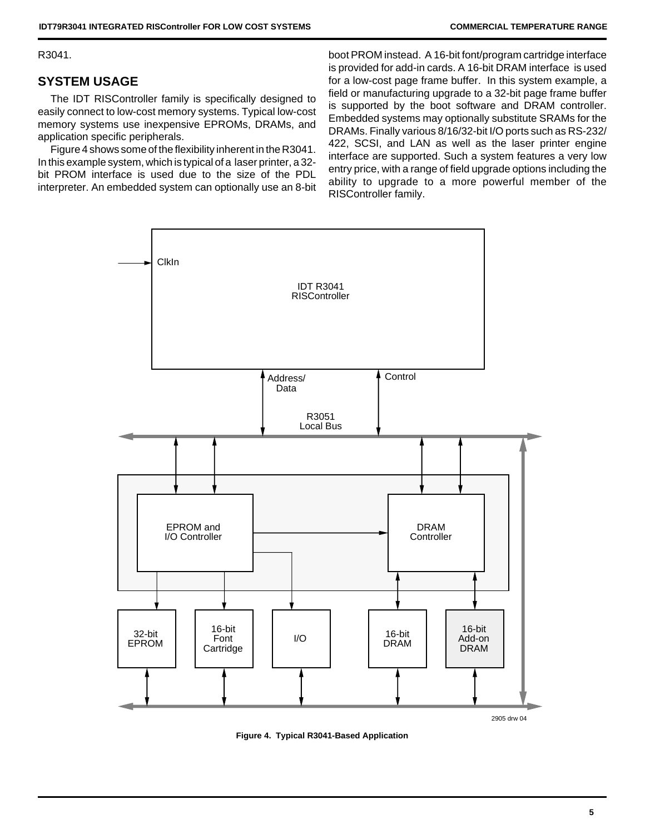R3041.

# **SYSTEM USAGE**

The IDT RISController family is specifically designed to easily connect to low-cost memory systems. Typical low-cost memory systems use inexpensive EPROMs, DRAMs, and application specific peripherals.

Figure 4 shows some of the flexibility inherent in the R3041. In this example system, which is typical of a laser printer, a 32 bit PROM interface is used due to the size of the PDL interpreter. An embedded system can optionally use an 8-bit boot PROM instead. A 16-bit font/program cartridge interface is provided for add-in cards. A 16-bit DRAM interface is used for a low-cost page frame buffer. In this system example, a field or manufacturing upgrade to a 32-bit page frame buffer is supported by the boot software and DRAM controller. Embedded systems may optionally substitute SRAMs for the DRAMs. Finally various 8/16/32-bit I/O ports such as RS-232/ 422, SCSI, and LAN as well as the laser printer engine interface are supported. Such a system features a very low entry price, with a range of field upgrade options including the ability to upgrade to a more powerful member of the RISController family.



**Figure 4. Typical R3041-Based Application**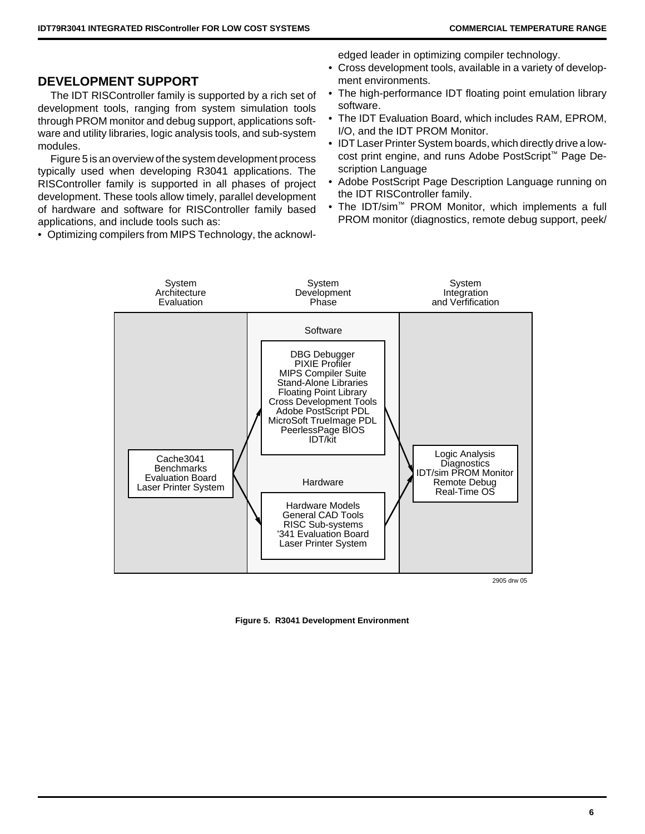# **DEVELOPMENT SUPPORT**

The IDT RISController family is supported by a rich set of development tools, ranging from system simulation tools through PROM monitor and debug support, applications software and utility libraries, logic analysis tools, and sub-system modules.

Figure 5 is an overview of the system development process typically used when developing R3041 applications. The RISController family is supported in all phases of project development. These tools allow timely, parallel development of hardware and software for RISController family based applications, and include tools such as:

• Optimizing compilers from MIPS Technology, the acknowl-

edged leader in optimizing compiler technology.

- Cross development tools, available in a variety of development environments.
- The high-performance IDT floating point emulation library software.
- The IDT Evaluation Board, which includes RAM, EPROM, I/O, and the IDT PROM Monitor.
- IDT Laser Printer System boards, which directly drive a lowcost print engine, and runs Adobe PostScript™ Page Description Language
- Adobe PostScript Page Description Language running on the IDT RISController family.
- The IDT/sim™ PROM Monitor, which implements a full PROM monitor (diagnostics, remote debug support, peek/



2905 drw 05

**Figure 5. R3041 Development Environment**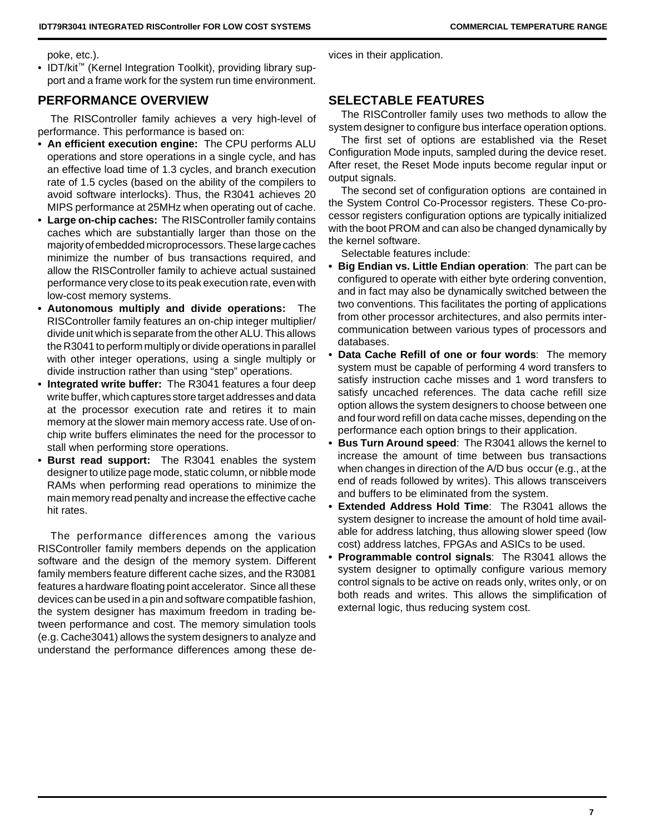poke, etc.).

• IDT/kit™ (Kernel Integration Toolkit), providing library support and a frame work for the system run time environment.

# **PERFORMANCE OVERVIEW**

The RISController family achieves a very high-level of performance. This performance is based on:

- **An efficient execution engine:** The CPU performs ALU operations and store operations in a single cycle, and has an effective load time of 1.3 cycles, and branch execution rate of 1.5 cycles (based on the ability of the compilers to avoid software interlocks). Thus, the R3041 achieves 20 MIPS performance at 25MHz when operating out of cache.
- **Large on-chip caches:** The RISController family contains caches which are substantially larger than those on the majority of embedded microprocessors. These large caches minimize the number of bus transactions required, and allow the RISController family to achieve actual sustained performance very close to its peak execution rate, even with low-cost memory systems.
- **Autonomous multiply and divide operations:** The RISController family features an on-chip integer multiplier/ divide unit which is separate from the other ALU. This allows the R3041 to perform multiply or divide operations in parallel with other integer operations, using a single multiply or divide instruction rather than using "step" operations.
- **Integrated write buffer:** The R3041 features a four deep write buffer, which captures store target addresses and data at the processor execution rate and retires it to main memory at the slower main memory access rate. Use of onchip write buffers eliminates the need for the processor to stall when performing store operations.
- **Burst read support:** The R3041 enables the system designer to utilize page mode, static column, or nibble mode RAMs when performing read operations to minimize the main memory read penalty and increase the effective cache hit rates.

The performance differences among the various RISController family members depends on the application software and the design of the memory system. Different family members feature different cache sizes, and the R3081 features a hardware floating point accelerator. Since all these devices can be used in a pin and software compatible fashion, the system designer has maximum freedom in trading between performance and cost. The memory simulation tools (e.g. Cache3041) allows the system designers to analyze and understand the performance differences among these devices in their application.

# **SELECTABLE FEATURES**

The RISController family uses two methods to allow the system designer to configure bus interface operation options.

The first set of options are established via the Reset Configuration Mode inputs, sampled during the device reset. After reset, the Reset Mode inputs become regular input or output signals.

The second set of configuration options are contained in the System Control Co-Processor registers. These Co-processor registers configuration options are typically initialized with the boot PROM and can also be changed dynamically by the kernel software.

Selectable features include:

- **Big Endian vs. Little Endian operation**: The part can be configured to operate with either byte ordering convention, and in fact may also be dynamically switched between the two conventions. This facilitates the porting of applications from other processor architectures, and also permits intercommunication between various types of processors and databases.
- **Data Cache Refill of one or four words**: The memory system must be capable of performing 4 word transfers to satisfy instruction cache misses and 1 word transfers to satisfy uncached references. The data cache refill size option allows the system designers to choose between one and four word refill on data cache misses, depending on the performance each option brings to their application.
- **Bus Turn Around speed**: The R3041 allows the kernel to increase the amount of time between bus transactions when changes in direction of the A/D bus occur (e.g., at the end of reads followed by writes). This allows transceivers and buffers to be eliminated from the system.
- **Extended Address Hold Time**: The R3041 allows the system designer to increase the amount of hold time available for address latching, thus allowing slower speed (low cost) address latches, FPGAs and ASICs to be used.
- **Programmable control signals**: The R3041 allows the system designer to optimally configure various memory control signals to be active on reads only, writes only, or on both reads and writes. This allows the simplification of external logic, thus reducing system cost.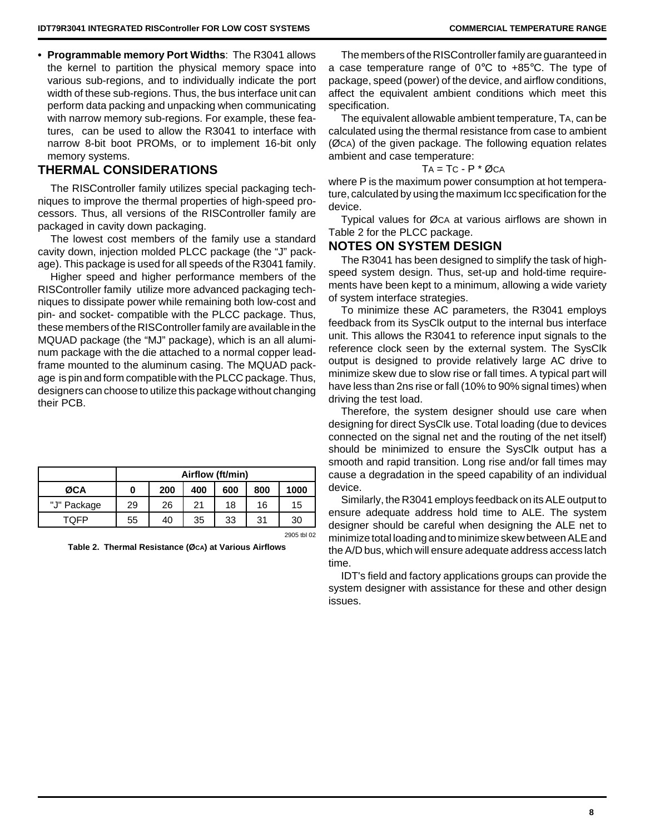**• Programmable memory Port Widths**: The R3041 allows the kernel to partition the physical memory space into various sub-regions, and to individually indicate the port width of these sub-regions. Thus, the bus interface unit can perform data packing and unpacking when communicating with narrow memory sub-regions. For example, these features, can be used to allow the R3041 to interface with narrow 8-bit boot PROMs, or to implement 16-bit only memory systems.

# **THERMAL CONSIDERATIONS**

The RISController family utilizes special packaging techniques to improve the thermal properties of high-speed processors. Thus, all versions of the RISController family are packaged in cavity down packaging.

The lowest cost members of the family use a standard cavity down, injection molded PLCC package (the "J" package). This package is used for all speeds of the R3041 family.

Higher speed and higher performance members of the RISController family utilize more advanced packaging techniques to dissipate power while remaining both low-cost and pin- and socket- compatible with the PLCC package. Thus, these members of the RISController family are available in the MQUAD package (the "MJ" package), which is an all aluminum package with the die attached to a normal copper leadframe mounted to the aluminum casing. The MQUAD package is pin and form compatible with the PLCC package. Thus, designers can choose to utilize this package without changing their PCB.

|             | Airflow (ft/min) |     |     |     |     |      |  |  |  |  |
|-------------|------------------|-----|-----|-----|-----|------|--|--|--|--|
| ØCA         |                  | 200 | 400 | 600 | 800 | 1000 |  |  |  |  |
| "J" Package | 29               | 26  | 21  | 18  | 16  | 15   |  |  |  |  |
| TOFP        | 55               | 40  | 35  | 33  | 31  | 30   |  |  |  |  |

2905 tbl 02

**Table 2. Thermal Resistance (ØCA) at Various Airflows**

The members of the RISController family are guaranteed in a case temperature range of 0°C to +85°C. The type of package, speed (power) of the device, and airflow conditions, affect the equivalent ambient conditions which meet this specification.

The equivalent allowable ambient temperature, TA, can be calculated using the thermal resistance from case to ambient (ØCA) of the given package. The following equation relates ambient and case temperature:

### $TA = TC - P * QCA$

where P is the maximum power consumption at hot temperature, calculated by using the maximum Icc specification for the device.

Typical values for ØCA at various airflows are shown in Table 2 for the PLCC package.

# **NOTES ON SYSTEM DESIGN**

The R3041 has been designed to simplify the task of highspeed system design. Thus, set-up and hold-time requirements have been kept to a minimum, allowing a wide variety of system interface strategies.

To minimize these AC parameters, the R3041 employs feedback from its SysClk output to the internal bus interface unit. This allows the R3041 to reference input signals to the reference clock seen by the external system. The SysClk output is designed to provide relatively large AC drive to minimize skew due to slow rise or fall times. A typical part will have less than 2ns rise or fall (10% to 90% signal times) when driving the test load.

Therefore, the system designer should use care when designing for direct SysClk use. Total loading (due to devices connected on the signal net and the routing of the net itself) should be minimized to ensure the SysClk output has a smooth and rapid transition. Long rise and/or fall times may cause a degradation in the speed capability of an individual device.

Similarly, the R3041 employs feedback on its ALE output to ensure adequate address hold time to ALE. The system designer should be careful when designing the ALE net to minimize total loading and to minimize skew between ALE and the A/D bus, which will ensure adequate address access latch time.

IDT's field and factory applications groups can provide the system designer with assistance for these and other design issues.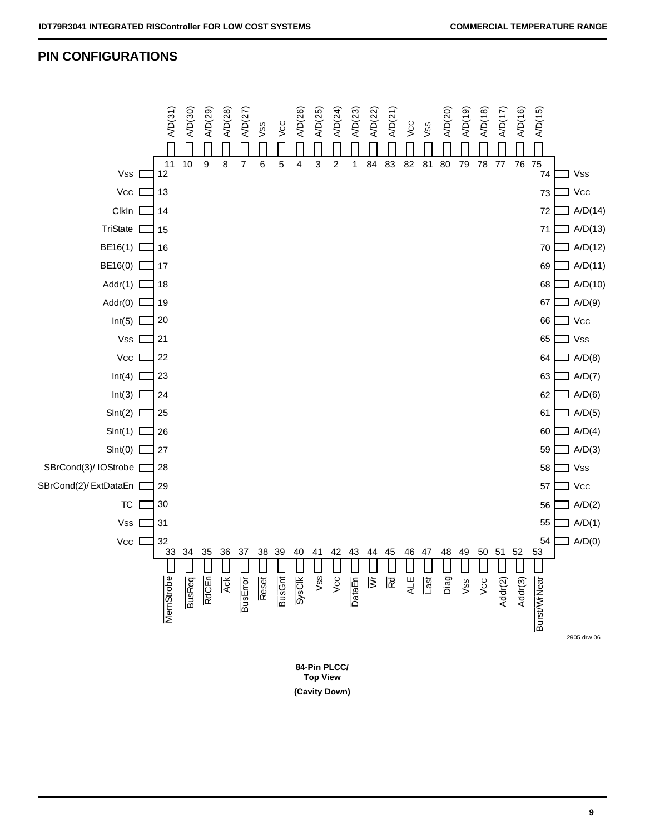# **PIN CONFIGURATIONS**



**Top View**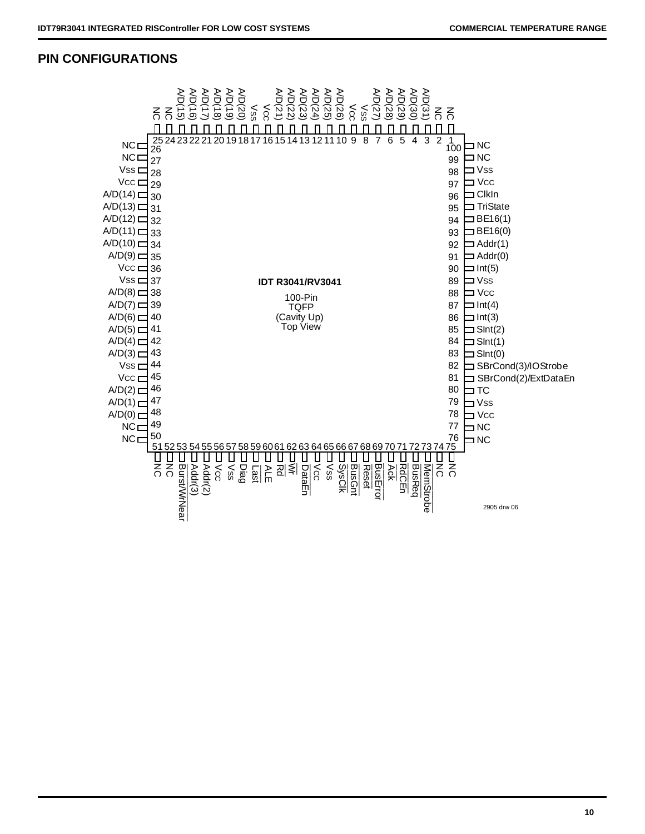# **PIN CONFIGURATIONS**

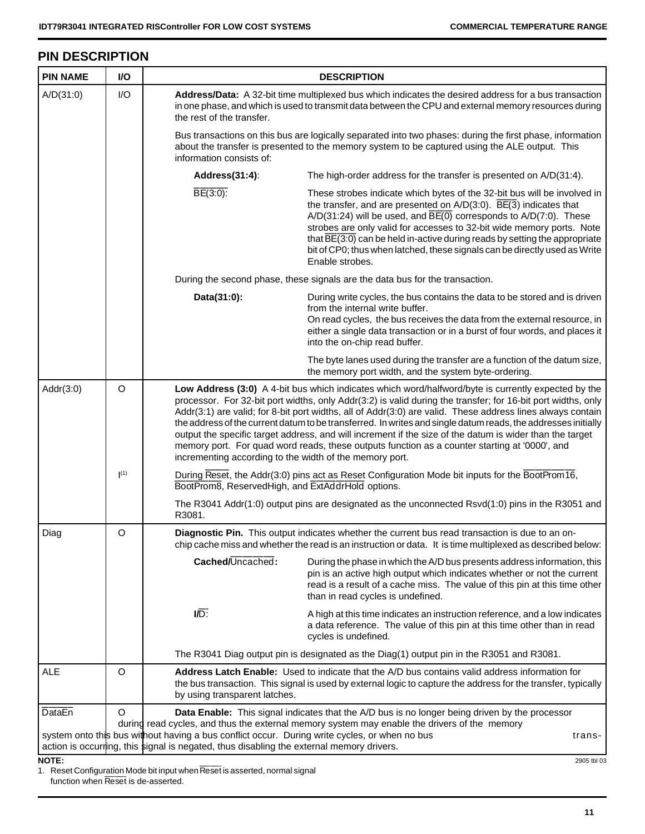# **PIN DESCRIPTION**

| <b>PIN NAME</b> | I/O     |                                                                                               | <b>DESCRIPTION</b>                                                                                                                                                                                                                                                                                                                                                                                                                                                                                                                                                                                                                                              |  |  |  |  |  |  |
|-----------------|---------|-----------------------------------------------------------------------------------------------|-----------------------------------------------------------------------------------------------------------------------------------------------------------------------------------------------------------------------------------------------------------------------------------------------------------------------------------------------------------------------------------------------------------------------------------------------------------------------------------------------------------------------------------------------------------------------------------------------------------------------------------------------------------------|--|--|--|--|--|--|
| A/D(31:0)       | I/O     | the rest of the transfer.                                                                     | Address/Data: A 32-bit time multiplexed bus which indicates the desired address for a bus transaction<br>in one phase, and which is used to transmit data between the CPU and external memory resources during                                                                                                                                                                                                                                                                                                                                                                                                                                                  |  |  |  |  |  |  |
|                 |         | information consists of:                                                                      | Bus transactions on this bus are logically separated into two phases: during the first phase, information<br>about the transfer is presented to the memory system to be captured using the ALE output. This                                                                                                                                                                                                                                                                                                                                                                                                                                                     |  |  |  |  |  |  |
|                 |         | Address(31:4):                                                                                | The high-order address for the transfer is presented on A/D(31:4).                                                                                                                                                                                                                                                                                                                                                                                                                                                                                                                                                                                              |  |  |  |  |  |  |
|                 |         | $\overline{BE(3:0)}$ :                                                                        | These strobes indicate which bytes of the 32-bit bus will be involved in<br>the transfer, and are presented on $A/D(3:0)$ . $\overline{BE(3)}$ indicates that<br>$A/D(31:24)$ will be used, and $\overline{BE(0)}$ corresponds to $A/D(7:0)$ . These<br>strobes are only valid for accesses to 32-bit wide memory ports. Note<br>that $\overline{BE(3:0)}$ can be held in-active during reads by setting the appropriate<br>bit of CP0; thus when latched, these signals can be directly used as Write<br>Enable strobes.                                                                                                                                       |  |  |  |  |  |  |
|                 |         |                                                                                               | During the second phase, these signals are the data bus for the transaction.                                                                                                                                                                                                                                                                                                                                                                                                                                                                                                                                                                                    |  |  |  |  |  |  |
|                 |         | Data(31:0):                                                                                   | During write cycles, the bus contains the data to be stored and is driven<br>from the internal write buffer.<br>On read cycles, the bus receives the data from the external resource, in<br>either a single data transaction or in a burst of four words, and places it<br>into the on-chip read buffer.                                                                                                                                                                                                                                                                                                                                                        |  |  |  |  |  |  |
|                 |         |                                                                                               | The byte lanes used during the transfer are a function of the datum size,<br>the memory port width, and the system byte-ordering.                                                                                                                                                                                                                                                                                                                                                                                                                                                                                                                               |  |  |  |  |  |  |
| Addr(3:0)       | $\circ$ | incrementing according to the width of the memory port.                                       | Low Address (3:0) A 4-bit bus which indicates which word/halfword/byte is currently expected by the<br>processor. For 32-bit port widths, only Addr(3:2) is valid during the transfer; for 16-bit port widths, only<br>Addr(3:1) are valid; for 8-bit port widths, all of Addr(3:0) are valid. These address lines always contain<br>the address of the current datum to be transferred. In writes and single datum reads, the addresses initially<br>output the specific target address, and will increment if the size of the datum is wider than the target<br>memory port. For quad word reads, these outputs function as a counter starting at '0000', and |  |  |  |  |  |  |
|                 | (1)     | BootProm8, ReservedHigh, and ExtAddrHold options.                                             | During Reset, the Addr(3:0) pins act as Reset Configuration Mode bit inputs for the BootProm16,                                                                                                                                                                                                                                                                                                                                                                                                                                                                                                                                                                 |  |  |  |  |  |  |
|                 |         | R3081.                                                                                        | The R3041 Addr(1:0) output pins are designated as the unconnected Rsvd(1:0) pins in the R3051 and                                                                                                                                                                                                                                                                                                                                                                                                                                                                                                                                                               |  |  |  |  |  |  |
| Diag            | O       |                                                                                               | Diagnostic Pin. This output indicates whether the current bus read transaction is due to an on-<br>chip cache miss and whether the read is an instruction or data. It is time multiplexed as described below:                                                                                                                                                                                                                                                                                                                                                                                                                                                   |  |  |  |  |  |  |
|                 |         | Cached/Uncached:                                                                              | During the phase in which the A/D bus presents address information, this<br>pin is an active high output which indicates whether or not the current<br>read is a result of a cache miss. The value of this pin at this time other<br>than in read cycles is undefined.                                                                                                                                                                                                                                                                                                                                                                                          |  |  |  |  |  |  |
|                 |         | $\overline{ID}$ :                                                                             | A high at this time indicates an instruction reference, and a low indicates<br>a data reference. The value of this pin at this time other than in read<br>cycles is undefined.                                                                                                                                                                                                                                                                                                                                                                                                                                                                                  |  |  |  |  |  |  |
|                 |         |                                                                                               | The R3041 Diag output pin is designated as the Diag(1) output pin in the R3051 and R3081.                                                                                                                                                                                                                                                                                                                                                                                                                                                                                                                                                                       |  |  |  |  |  |  |
| <b>ALE</b>      | O       | by using transparent latches.                                                                 | Address Latch Enable: Used to indicate that the A/D bus contains valid address information for<br>the bus transaction. This signal is used by external logic to capture the address for the transfer, typically                                                                                                                                                                                                                                                                                                                                                                                                                                                 |  |  |  |  |  |  |
| <b>DataEn</b>   | O       | system onto this bus without having a bus conflict occur. During write cycles, or when no bus | Data Enable: This signal indicates that the A/D bus is no longer being driven by the processor<br>during read cycles, and thus the external memory system may enable the drivers of the memory<br>trans-                                                                                                                                                                                                                                                                                                                                                                                                                                                        |  |  |  |  |  |  |
|                 |         | action is occurring, this signal is negated, thus disabling the external memory drivers.      |                                                                                                                                                                                                                                                                                                                                                                                                                                                                                                                                                                                                                                                                 |  |  |  |  |  |  |
| <b>NOTE:</b>    |         |                                                                                               | 2905 tbl 03                                                                                                                                                                                                                                                                                                                                                                                                                                                                                                                                                                                                                                                     |  |  |  |  |  |  |

1. Reset Configuration Mode bit input when Reset is asserted, normal signal function when Reset is de-asserted.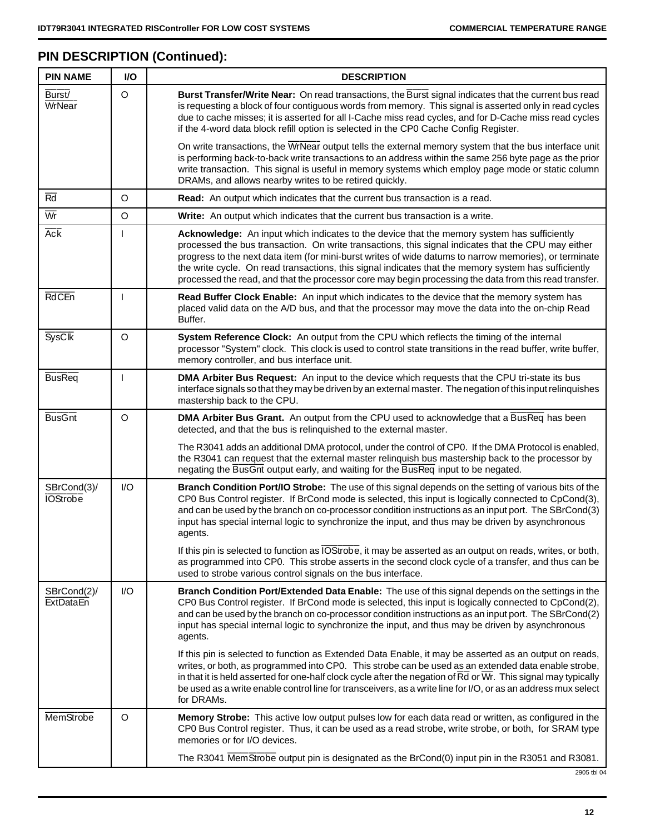# **PIN DESCRIPTION (Continued):**

| <b>PIN NAME</b>                 | I/O     | <b>DESCRIPTION</b>                                                                                                                                                                                                                                                                                                                                                                                                                                                                                                             |
|---------------------------------|---------|--------------------------------------------------------------------------------------------------------------------------------------------------------------------------------------------------------------------------------------------------------------------------------------------------------------------------------------------------------------------------------------------------------------------------------------------------------------------------------------------------------------------------------|
| Burst/<br>WrNear                | $\circ$ | Burst Transfer/Write Near: On read transactions, the Burst signal indicates that the current bus read<br>is requesting a block of four contiguous words from memory. This signal is asserted only in read cycles<br>due to cache misses; it is asserted for all I-Cache miss read cycles, and for D-Cache miss read cycles<br>if the 4-word data block refill option is selected in the CP0 Cache Config Register.                                                                                                             |
|                                 |         | On write transactions, the WrNear output tells the external memory system that the bus interface unit<br>is performing back-to-back write transactions to an address within the same 256 byte page as the prior<br>write transaction. This signal is useful in memory systems which employ page mode or static column<br>DRAMs, and allows nearby writes to be retired quickly.                                                                                                                                                |
| Rd                              | O       | Read: An output which indicates that the current bus transaction is a read.                                                                                                                                                                                                                                                                                                                                                                                                                                                    |
| $\overline{\mathsf{Wr}}$        | $\circ$ | Write: An output which indicates that the current bus transaction is a write.                                                                                                                                                                                                                                                                                                                                                                                                                                                  |
| <b>Ack</b>                      | I       | Acknowledge: An input which indicates to the device that the memory system has sufficiently<br>processed the bus transaction. On write transactions, this signal indicates that the CPU may either<br>progress to the next data item (for mini-burst writes of wide datums to narrow memories), or terminate<br>the write cycle. On read transactions, this signal indicates that the memory system has sufficiently<br>processed the read, and that the processor core may begin processing the data from this read transfer. |
| <b>RdCEn</b>                    | ı       | Read Buffer Clock Enable: An input which indicates to the device that the memory system has<br>placed valid data on the A/D bus, and that the processor may move the data into the on-chip Read<br>Buffer.                                                                                                                                                                                                                                                                                                                     |
| <b>SysClk</b>                   | $\circ$ | System Reference Clock: An output from the CPU which reflects the timing of the internal<br>processor "System" clock. This clock is used to control state transitions in the read buffer, write buffer,<br>memory controller, and bus interface unit.                                                                                                                                                                                                                                                                          |
| <b>BusReq</b>                   | ı       | DMA Arbiter Bus Request: An input to the device which requests that the CPU tri-state its bus<br>interface signals so that they may be driven by an external master. The negation of this input relinquishes<br>mastership back to the CPU.                                                                                                                                                                                                                                                                                    |
| <b>BusGnt</b>                   | $\circ$ | DMA Arbiter Bus Grant. An output from the CPU used to acknowledge that a BusReq has been<br>detected, and that the bus is relinquished to the external master.                                                                                                                                                                                                                                                                                                                                                                 |
|                                 |         | The R3041 adds an additional DMA protocol, under the control of CP0. If the DMA Protocol is enabled,<br>the R3041 can request that the external master relinquish bus mastership back to the processor by<br>negating the BusGnt output early, and waiting for the BusReq input to be negated.                                                                                                                                                                                                                                 |
| SBrCond(3)/<br><b>IOStrobe</b>  | 1/O     | Branch Condition Port/IO Strobe: The use of this signal depends on the setting of various bits of the<br>CP0 Bus Control register. If BrCond mode is selected, this input is logically connected to CpCond(3),<br>and can be used by the branch on co-processor condition instructions as an input port. The SBrCond(3)<br>input has special internal logic to synchronize the input, and thus may be driven by asynchronous<br>agents.                                                                                        |
|                                 |         | If this pin is selected to function as <i>IOStrobe</i> , it may be asserted as an output on reads, writes, or both,<br>as programmed into CP0. This strobe asserts in the second clock cycle of a transfer, and thus can be<br>used to strobe various control signals on the bus interface.                                                                                                                                                                                                                                    |
| SBrCond(2)/<br><b>ExtDataEn</b> | I/O     | Branch Condition Port/Extended Data Enable: The use of this signal depends on the settings in the<br>CP0 Bus Control register. If BrCond mode is selected, this input is logically connected to CpCond(2),<br>and can be used by the branch on co-processor condition instructions as an input port. The SBrCond(2)<br>input has special internal logic to synchronize the input, and thus may be driven by asynchronous<br>agents.                                                                                            |
|                                 |         | If this pin is selected to function as Extended Data Enable, it may be asserted as an output on reads,<br>writes, or both, as programmed into CP0. This strobe can be used as an extended data enable strobe,<br>in that it is held asserted for one-half clock cycle after the negation of $\overline{Rd}$ or $\overline{Wr}$ . This signal may typically<br>be used as a write enable control line for transceivers, as a write line for I/O, or as an address mux select<br>for DRAMs.                                      |
| MemStrobe                       | O       | Memory Strobe: This active low output pulses low for each data read or written, as configured in the<br>CP0 Bus Control register. Thus, it can be used as a read strobe, write strobe, or both, for SRAM type<br>memories or for I/O devices.                                                                                                                                                                                                                                                                                  |
|                                 |         | The R3041 MemStrobe output pin is designated as the BrCond(0) input pin in the R3051 and R3081.                                                                                                                                                                                                                                                                                                                                                                                                                                |

2905 tbl 04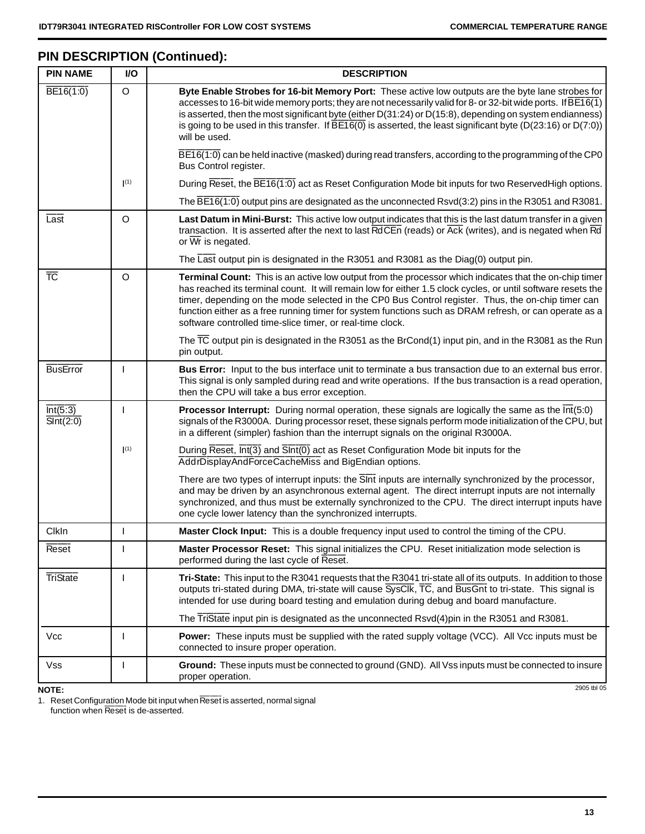# **PIN DESCRIPTION (Continued):**

 $\mathbf{r}$ 

| <b>PIN NAME</b>                           | <b>I/O</b> | <b>DESCRIPTION</b>                                                                                                                                                                                                                                                                                                                                                                                                                                                                                  |
|-------------------------------------------|------------|-----------------------------------------------------------------------------------------------------------------------------------------------------------------------------------------------------------------------------------------------------------------------------------------------------------------------------------------------------------------------------------------------------------------------------------------------------------------------------------------------------|
| $\overline{BE16(1:0)}$                    | O          | Byte Enable Strobes for 16-bit Memory Port: These active low outputs are the byte lane strobes for<br>accesses to 16-bit wide memory ports; they are not necessarily valid for 8- or 32-bit wide ports. If $\overline{BE16(1)}$<br>is asserted, then the most significant byte (either D(31:24) or D(15:8), depending on system endianness)<br>is going to be used in this transfer. If $\overline{BE16(0)}$ is asserted, the least significant byte (D(23:16) or D(7:0))<br>will be used.          |
|                                           |            | BE16(1:0) can be held inactive (masked) during read transfers, according to the programming of the CP0<br>Bus Control register.                                                                                                                                                                                                                                                                                                                                                                     |
|                                           | (1)        | During Reset, the BE16(1:0) act as Reset Configuration Mode bit inputs for two ReservedHigh options.                                                                                                                                                                                                                                                                                                                                                                                                |
|                                           |            | The $\overline{BE16(1:0)}$ output pins are designated as the unconnected Rsvd(3:2) pins in the R3051 and R3081.                                                                                                                                                                                                                                                                                                                                                                                     |
| Last                                      | O          | Last Datum in Mini-Burst: This active low output indicates that this is the last datum transfer in a given<br>transaction. It is asserted after the next to last RdCEn (reads) or Ack (writes), and is negated when Rd<br>or $\overline{Wr}$ is negated.                                                                                                                                                                                                                                            |
|                                           |            | The Last output pin is designated in the R3051 and R3081 as the Diag(0) output pin.                                                                                                                                                                                                                                                                                                                                                                                                                 |
| <b>TC</b>                                 | $\circ$    | Terminal Count: This is an active low output from the processor which indicates that the on-chip timer<br>has reached its terminal count. It will remain low for either 1.5 clock cycles, or until software resets the<br>timer, depending on the mode selected in the CP0 Bus Control register. Thus, the on-chip timer can<br>function either as a free running timer for system functions such as DRAM refresh, or can operate as a<br>software controlled time-slice timer, or real-time clock. |
|                                           |            | The $\overline{TC}$ output pin is designated in the R3051 as the BrCond(1) input pin, and in the R3081 as the Run<br>pin output.                                                                                                                                                                                                                                                                                                                                                                    |
| <b>BusError</b>                           |            | Bus Error: Input to the bus interface unit to terminate a bus transaction due to an external bus error.<br>This signal is only sampled during read and write operations. If the bus transaction is a read operation,<br>then the CPU will take a bus error exception.                                                                                                                                                                                                                               |
| Int(5:3)<br>$\overline{\text{SInt}(2:0)}$ |            | <b>Processor Interrupt:</b> During normal operation, these signals are logically the same as the $\overline{\text{Int}}(5.0)$<br>signals of the R3000A. During processor reset, these signals perform mode initialization of the CPU, but<br>in a different (simpler) fashion than the interrupt signals on the original R3000A.                                                                                                                                                                    |
|                                           | (1)        | During Reset, Int(3) and SInt(0) act as Reset Configuration Mode bit inputs for the<br>AddrDisplayAndForceCacheMiss and BigEndian options.                                                                                                                                                                                                                                                                                                                                                          |
|                                           |            | There are two types of interrupt inputs: the SInt inputs are internally synchronized by the processor,<br>and may be driven by an asynchronous external agent. The direct interrupt inputs are not internally<br>synchronized, and thus must be externally synchronized to the CPU. The direct interrupt inputs have<br>one cycle lower latency than the synchronized interrupts.                                                                                                                   |
| ClkIn                                     |            | Master Clock Input: This is a double frequency input used to control the timing of the CPU.                                                                                                                                                                                                                                                                                                                                                                                                         |
| Reset                                     |            | Master Processor Reset: This signal initializes the CPU. Reset initialization mode selection is<br>performed during the last cycle of Reset.                                                                                                                                                                                                                                                                                                                                                        |
| <b>TriState</b>                           |            | Tri-State: This input to the R3041 requests that the R3041 tri-state all of its outputs. In addition to those<br>outputs tri-stated during DMA, tri-state will cause SysClk, TC, and BusGnt to tri-state. This signal is<br>intended for use during board testing and emulation during debug and board manufacture.                                                                                                                                                                                 |
|                                           |            | The TriState input pin is designated as the unconnected Rsvd(4)pin in the R3051 and R3081.                                                                                                                                                                                                                                                                                                                                                                                                          |
| Vcc                                       |            | <b>Power:</b> These inputs must be supplied with the rated supply voltage (VCC). All Vcc inputs must be<br>connected to insure proper operation.                                                                                                                                                                                                                                                                                                                                                    |
| Vss                                       |            | Ground: These inputs must be connected to ground (GND). All Vss inputs must be connected to insure<br>proper operation.                                                                                                                                                                                                                                                                                                                                                                             |
| <b>NOTE:</b>                              |            | 2905 tbl 05                                                                                                                                                                                                                                                                                                                                                                                                                                                                                         |

1. Reset Configuration Mode bit input when Reset is asserted, normal signal function when Reset is de-asserted.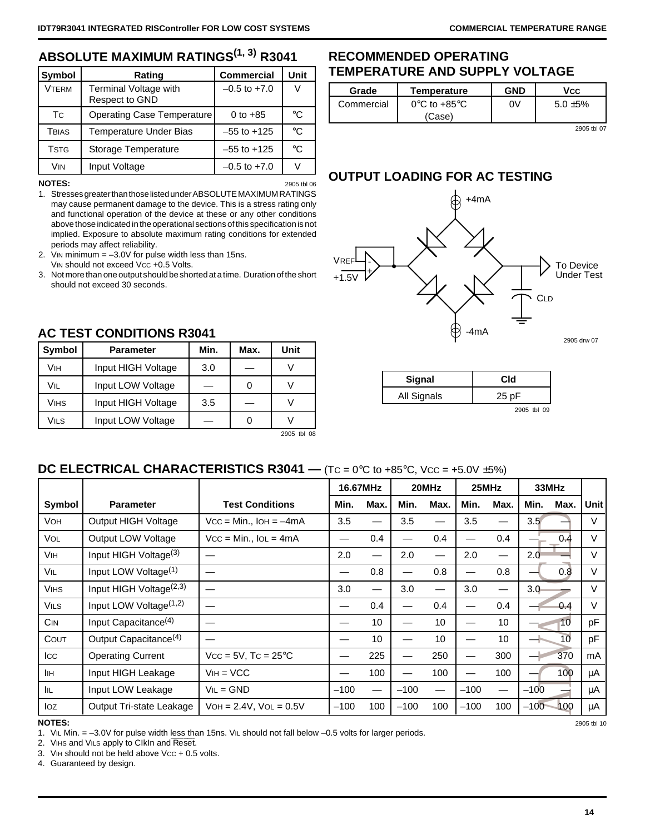# **ABSOLUTE MAXIMUM RATINGS(1, 3) R3041**

| Symbol       | Rating                                  | <b>Commercial</b> | Unit        |
|--------------|-----------------------------------------|-------------------|-------------|
| <b>VTERM</b> | Terminal Voltage with<br>Respect to GND | $-0.5$ to $+7.0$  |             |
| Тc           | <b>Operating Case Temperature</b>       | 0 to $+85$        | °C          |
| Tbias        | <b>Temperature Under Bias</b>           | $-55$ to $+125$   | $^{\circ}C$ |
| <b>TSTG</b>  | Storage Temperature                     | $-55$ to $+125$   | °C          |
| Vin          | Input Voltage                           | $-0.5$ to $+7.0$  |             |

**NOTES:** 2905 tbl 06 1. Stresses greater than those listed under ABSOLUTE MAXIMUM RATINGS may cause permanent damage to the device. This is a stress rating only and functional operation of the device at these or any other conditions above those indicated in the operational sections of this specification is not implied. Exposure to absolute maximum rating conditions for extended periods may affect reliability.

2. VIN minimum  $= -3.0V$  for pulse width less than 15ns. VIN should not exceed Vcc +0.5 Volts.

3. Not more than one output should be shorted at a time. Duration of the short should not exceed 30 seconds.

**RECOMMENDED OPERATING**

| Grade      | Temperature                                 | <b>GND</b> | Vcc.        |
|------------|---------------------------------------------|------------|-------------|
| Commercial | $0^{\circ}$ C to +85 $^{\circ}$ C<br>(Case) | 0V         | $5.0 + 5\%$ |
|            |                                             |            |             |

**TEMPERATURE AND SUPPLY VOLTAGE**

2905 tbl 07

┑

# **OUTPUT LOADING FOR AC TESTING**



| Signal      | Cld         |
|-------------|-------------|
| All Signals | 25pF        |
|             | 2905 tbl 09 |

# **AC TEST CONDITIONS R3041**

| Symbol | <b>Parameter</b>   | Min. | Max. | Unit        |
|--------|--------------------|------|------|-------------|
| Vıн    | Input HIGH Voltage | 3.0  |      |             |
| Vil    | Input LOW Voltage  |      |      |             |
| VIHS   | Input HIGH Voltage | 3.5  |      |             |
| Vils   | Input LOW Voltage  |      |      |             |
|        |                    |      |      | 2905 tbl 08 |

# **DC ELECTRICAL CHARACTERISTICS R3041 —** (Tc = 0°C to +85°C, Vcc = +5.0V ±5%)

|             |                                     |                                 |        | 16.67MHz                 |        | 20MHz |        | 25MHz         |        |                 | 33MHz |  |  |
|-------------|-------------------------------------|---------------------------------|--------|--------------------------|--------|-------|--------|---------------|--------|-----------------|-------|--|--|
| Symbol      | <b>Parameter</b>                    | <b>Test Conditions</b>          | Min.   | Max.                     | Min.   | Max.  | Min.   | Max.          | Min.   | Max.            | Unit  |  |  |
| VOH         | Output HIGH Voltage                 | $Vcc = Min.,$ IOH = $-4mA$      | 3.5    | —                        | 3.5    |       | 3.5    |               | 3.5    |                 | V     |  |  |
| <b>VOL</b>  | Output LOW Voltage                  | $Vcc = Min., IoL = 4mA$         |        | 0.4                      |        | 0.4   |        | 0.4           |        | 0.4             | V     |  |  |
| Vін         | Input HIGH Voltage <sup>(3)</sup>   |                                 | 2.0    | —                        | 2.0    |       | 2.0    |               | 2.0    |                 | V     |  |  |
| Vil         | Input LOW Voltage <sup>(1)</sup>    |                                 |        | 0.8                      |        | 0.8   |        | 0.8           |        | 0.8             | V     |  |  |
| <b>VIHS</b> | Input HIGH Voltage <sup>(2,3)</sup> |                                 | 3.0    | $\overline{\phantom{m}}$ | 3.0    | —     | 3.0    | —             | 3.0    |                 | V     |  |  |
| <b>VILS</b> | Input LOW Voltage <sup>(1,2)</sup>  |                                 |        | 0.4                      |        | 0.4   |        | $0.4^{\circ}$ |        | 0.4             | V     |  |  |
| <b>CIN</b>  | Input Capacitance <sup>(4)</sup>    |                                 |        | 10                       |        | 10    |        | 10            |        | 10              | pF    |  |  |
| COUT        | Output Capacitance <sup>(4)</sup>   |                                 |        | 10                       |        | 10    |        | 10            |        | 10 <sup>°</sup> | pF    |  |  |
| Icc         | <b>Operating Current</b>            | $Vcc = 5V$ , Tc = $25^{\circ}C$ |        | 225                      |        | 250   |        | 300           |        | 370             | mA    |  |  |
| IІн         | Input HIGH Leakage                  | $VIH = VCC$                     |        | 100                      |        | 100   |        | 100           |        | 100             | μA    |  |  |
| IIL         | Input LOW Leakage                   | $VIL = GND$                     | $-100$ | $\overline{\phantom{m}}$ | $-100$ |       | $-100$ | —             | $-100$ |                 | μA    |  |  |
| loz         | Output Tri-state Leakage            | $VOH = 2.4V$ , $VOL = 0.5V$     | $-100$ | 100                      | $-100$ | 100   | $-100$ | 100           | $-100$ | 100             | μA    |  |  |

### **NOTES:** 2905 tbl 10

1. VIL Min. = -3.0V for pulse width less than 15ns. VIL should not fall below -0.5 volts for larger periods.

2. VIHS and VILS apply to CIkIn and Reset.

3. VIH should not be held above  $\text{Vcc} + 0.5$  volts.

4. Guaranteed by design.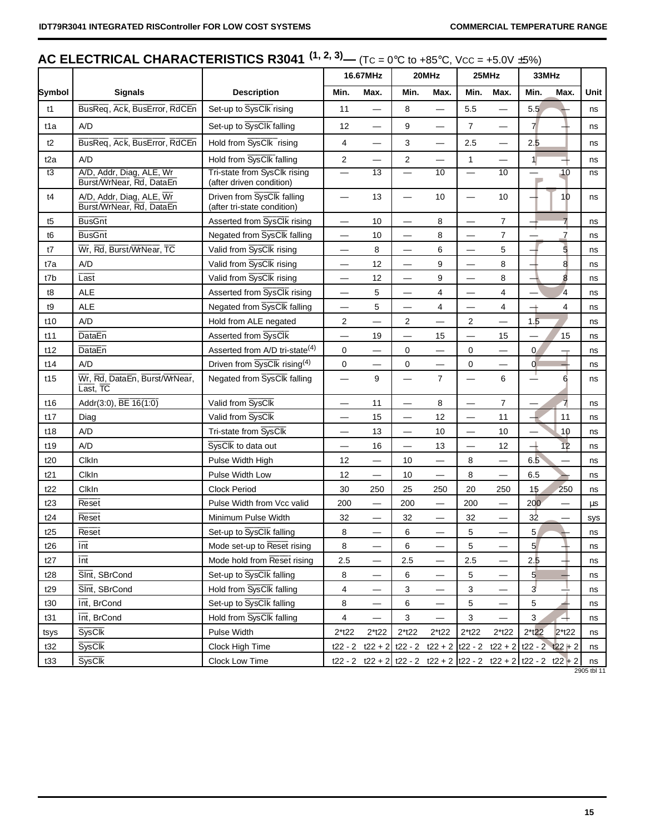# **AC ELECTRICAL CHARACTERISTICS R3041**  $(1, 2, 3)$ **—**  $(TC = 0°C$  **to +85°C, Vcc = +5.0V ±5%)**

|                  |                                                      |                                                           |                          | 16.67MHz                 |                          | 20MHz                                                                                                                                                                                                                                                                                                                                                                  |                          |                                | 25MHz<br>33MHz           |                |      |
|------------------|------------------------------------------------------|-----------------------------------------------------------|--------------------------|--------------------------|--------------------------|------------------------------------------------------------------------------------------------------------------------------------------------------------------------------------------------------------------------------------------------------------------------------------------------------------------------------------------------------------------------|--------------------------|--------------------------------|--------------------------|----------------|------|
| Symbol           | <b>Signals</b>                                       | <b>Description</b>                                        | Min.                     | Max.                     | Min.                     | Max.                                                                                                                                                                                                                                                                                                                                                                   | Min.                     | Max.                           | Min.                     | Max.           | Unit |
| t1               | BusReq, Ack, BusError, RdCEn                         | Set-up to SysClk rising                                   | 11                       |                          | 8                        | $\overline{\phantom{0}}$                                                                                                                                                                                                                                                                                                                                               | 5.5                      | —                              | 5.5                      |                | ns   |
| t1a              | A/D                                                  | Set-up to SysClk falling                                  | 12                       |                          | 9                        |                                                                                                                                                                                                                                                                                                                                                                        | $\overline{7}$           |                                | 7 <sup>1</sup>           |                | ns   |
| t2               | BusReq, Ack, BusError, RdCEn                         | Hold from SysClk rising                                   | 4                        |                          | 3                        |                                                                                                                                                                                                                                                                                                                                                                        | 2.5                      |                                | 2.5                      |                | ns   |
| t <sub>2</sub> a | A/D                                                  | Hold from SysClk falling                                  | $\overline{2}$           | $\overline{\phantom{0}}$ | $\mathbf{2}$             |                                                                                                                                                                                                                                                                                                                                                                        | $\mathbf{1}$             | $\overline{\phantom{0}}$       | $\mathbf{1}$             |                | ns   |
| t3               | A/D, Addr, Diag, ALE, Wr<br>Burst/WrNear, Rd, DataEn | Tri-state from SysClk rising<br>(after driven condition)  |                          | $\overline{13}$          |                          | 10                                                                                                                                                                                                                                                                                                                                                                     | $\overline{\phantom{0}}$ | 10                             | <b>College</b>           | 10             | ns   |
| t4               | A/D, Addr, Diag, ALE, Wr<br>Burst/WrNear, Rd, DataEn | Driven from SysClk falling<br>(after tri-state condition) |                          | 13                       |                          | 10                                                                                                                                                                                                                                                                                                                                                                     |                          | 10                             |                          | 10             | ns   |
| t5               | <b>BusGnt</b>                                        | Asserted from SysClk rising                               | —                        | 10                       | $\overline{\phantom{0}}$ | 8                                                                                                                                                                                                                                                                                                                                                                      |                          | $\overline{7}$                 |                          | $\overline{7}$ | ns   |
| t <sub>6</sub>   | <b>BusGnt</b>                                        | Negated from SysClk falling                               | —                        | 10                       | $\overline{\phantom{0}}$ | 8                                                                                                                                                                                                                                                                                                                                                                      | ▃                        | $\overline{7}$                 |                          | 7              | ns   |
| t7               | Wr, Rd, Burst/WrNear, TC                             | Valid from SysClk rising                                  | —                        | 8                        | $\overline{\phantom{0}}$ | 6                                                                                                                                                                                                                                                                                                                                                                      | $\overline{\phantom{0}}$ | 5                              |                          | 5              | ns   |
| t7a              | A/D                                                  | Valid from SysClk rising                                  | —                        | 12                       | $\overline{\phantom{0}}$ | 9                                                                                                                                                                                                                                                                                                                                                                      |                          | 8                              |                          | 8              | ns   |
| t7b              | Last                                                 | Valid from SysClk rising                                  | -                        | 12                       | $\overline{\phantom{0}}$ | 9                                                                                                                                                                                                                                                                                                                                                                      | $\overline{\phantom{0}}$ | 8                              |                          | 8              | ns   |
| t8               | <b>ALE</b>                                           | Asserted from SysClk rising                               | —                        | 5                        |                          | 4                                                                                                                                                                                                                                                                                                                                                                      |                          | $\overline{4}$                 |                          | $\overline{4}$ | ns   |
| t9               | <b>ALE</b>                                           | Negated from SysClk falling                               | —                        | 5                        | $\overline{\phantom{0}}$ | 4                                                                                                                                                                                                                                                                                                                                                                      |                          | $\overline{4}$                 | $\overline{\phantom{a}}$ | 4              | ns   |
| t10              | A/D                                                  | Hold from ALE negated                                     | $\overline{c}$           |                          | 2                        |                                                                                                                                                                                                                                                                                                                                                                        | $\overline{2}$           |                                | 1.5                      |                | ns   |
| t11              | <b>DataEn</b>                                        | Asserted from SysClk                                      | $\overline{\phantom{0}}$ | 19                       |                          | 15                                                                                                                                                                                                                                                                                                                                                                     |                          | 15                             |                          | 15             | ns   |
| t12              | <b>DataEn</b>                                        | Asserted from A/D tri-state <sup>(4)</sup>                | 0                        |                          | 0                        |                                                                                                                                                                                                                                                                                                                                                                        | 0                        |                                | 0                        |                | ns   |
| t14              | A/D                                                  | Driven from SysClk rising <sup>(4)</sup>                  | 0                        |                          | 0                        |                                                                                                                                                                                                                                                                                                                                                                        | 0                        |                                | $\overline{0}$           |                | ns   |
| t15              | Wr, Rd, DataEn, Burst/WrNear,<br>Last, TC            | Negated from SysClk falling                               | $\overline{\phantom{0}}$ | 9                        |                          | $\overline{7}$                                                                                                                                                                                                                                                                                                                                                         |                          | 6                              | ⊥                        | 6              | ns   |
| t16              | Addr(3:0), BE 16(1:0)                                | Valid from SysClk                                         | —                        | 11                       | $\overline{\phantom{0}}$ | 8                                                                                                                                                                                                                                                                                                                                                                      | $\equiv$                 | $\overline{7}$                 | —                        | $\overline{7}$ | ns   |
| t17              | Diag                                                 | Valid from SysClk                                         | —                        | 15                       |                          | 12                                                                                                                                                                                                                                                                                                                                                                     | $\equiv$                 | 11                             | ∸                        | 11             | ns   |
| t18              | A/D                                                  | Tri-state from SysClk                                     | —                        | 13                       |                          | 10                                                                                                                                                                                                                                                                                                                                                                     |                          | 10                             |                          | 10             | ns   |
| t19              | A/D                                                  | SysClk to data out                                        | —                        | 16                       | —                        | 13                                                                                                                                                                                                                                                                                                                                                                     |                          | 12                             | $\overline{\phantom{a}}$ | 12             | ns   |
| t20              | ClkIn                                                | Pulse Width High                                          | 12                       | $\overline{\phantom{0}}$ | 10                       |                                                                                                                                                                                                                                                                                                                                                                        | 8                        |                                | 6.5                      |                | ns   |
| t21              | ClkIn                                                | Pulse Width Low                                           | 12                       |                          | 10                       |                                                                                                                                                                                                                                                                                                                                                                        | 8                        |                                | 6.5                      |                | ns   |
| t22              | ClkIn                                                | <b>Clock Period</b>                                       | 30                       | 250                      | 25                       | 250                                                                                                                                                                                                                                                                                                                                                                    | 20                       | 250                            | 15                       | 250            | ns   |
| t23              | Reset                                                | Pulse Width from Vcc valid                                | 200                      | $\overline{\phantom{0}}$ | 200                      |                                                                                                                                                                                                                                                                                                                                                                        | 200                      |                                | 200                      |                | μs   |
| t24              | Reset                                                | Minimum Pulse Width                                       | 32                       |                          | 32                       |                                                                                                                                                                                                                                                                                                                                                                        | 32                       |                                | 32                       |                | sys  |
| t25              | <b>Reset</b>                                         | Set-up to SysClk falling                                  | 8                        | $\equiv$                 | 6                        |                                                                                                                                                                                                                                                                                                                                                                        | 5                        |                                | 5                        |                | ns   |
| t26              | $\overline{\mathsf{Int}}$                            | Mode set-up to Reset rising                               | 8                        | $\overline{\phantom{0}}$ | 6                        | —                                                                                                                                                                                                                                                                                                                                                                      | 5                        | $\overline{\phantom{0}}$       | 5 <sup>1</sup>           | ╄              | ns   |
| t27              | $\overline{\text{Int}}$                              | Mode hold from Reset rising                               | 2.5                      | —                        | 2.5                      |                                                                                                                                                                                                                                                                                                                                                                        | 2.5                      | $\overline{\phantom{0}}$       | 2.5                      |                | ns   |
| t28              | Sint, SBrCond                                        | Set-up to SysClk falling                                  | 8                        |                          | 6                        |                                                                                                                                                                                                                                                                                                                                                                        | 5                        |                                | $5\overline{)}$          |                | ns   |
| t29              | SInt, SBrCond                                        | Hold from SysClk falling                                  | 4                        | $\overline{\phantom{0}}$ | 3                        | $\overline{\phantom{0}}$                                                                                                                                                                                                                                                                                                                                               | 3                        | $\qquad \qquad \longleftarrow$ | $\overline{3}$           |                | ns   |
| t30              | Int, BrCond                                          | Set-up to SysClk falling                                  | 8                        |                          | 6                        | $\overline{\phantom{0}}$                                                                                                                                                                                                                                                                                                                                               | 5                        |                                | 5                        |                | ns   |
| t31              | Int, BrCond                                          | Hold from SysClk falling                                  | 4                        | $\overline{\phantom{0}}$ | 3                        | $\overline{\phantom{0}}$                                                                                                                                                                                                                                                                                                                                               | 3                        | $\overline{\phantom{0}}$       | 3                        |                | ns   |
| tsys             | <b>SysClk</b>                                        | Pulse Width                                               | $2*122$                  | $2*122$                  | $2*122$                  | $2*122$                                                                                                                                                                                                                                                                                                                                                                | $2*122$                  | $2*122$                        | $2*122$                  | $2*122$        | ns   |
| t32              | <b>SysClk</b>                                        | Clock High Time                                           | t22 - 2                  |                          |                          | $t22 + 2 \mid t22 - 2 \mid t22 + 2 \mid t22 - 2 \mid t22 + 2 \mid t22 - 2 \mid t22 + 2 \mid t22 + 2 \mid t22 + 2 \mid t22 + 2 \mid t22 + 2 \mid t22 + 2 \mid t22 + 2 \mid t22 + 2 \mid t22 + 2 \mid t22 + 2 \mid t22 + 2 \mid t22 + 2 \mid t22 + 2 \mid t22 + 2 \mid t22 + 2 \mid t22 + 2 \mid t22 + 2 \mid t22 + 2 \mid t22 + 2 \mid t22 + 2 \mid t22 + 2 \mid t22 +$ |                          |                                |                          |                | ns   |
| t33              | <b>SysClk</b>                                        | Clock Low Time                                            |                          |                          |                          | t22 - 2 t22 + 2 t22 - 2 t22 + 2 t22 - 2 t22 + 2 t22 - 2 t22 + 2                                                                                                                                                                                                                                                                                                        |                          |                                |                          |                | ns   |

2905 tbl 11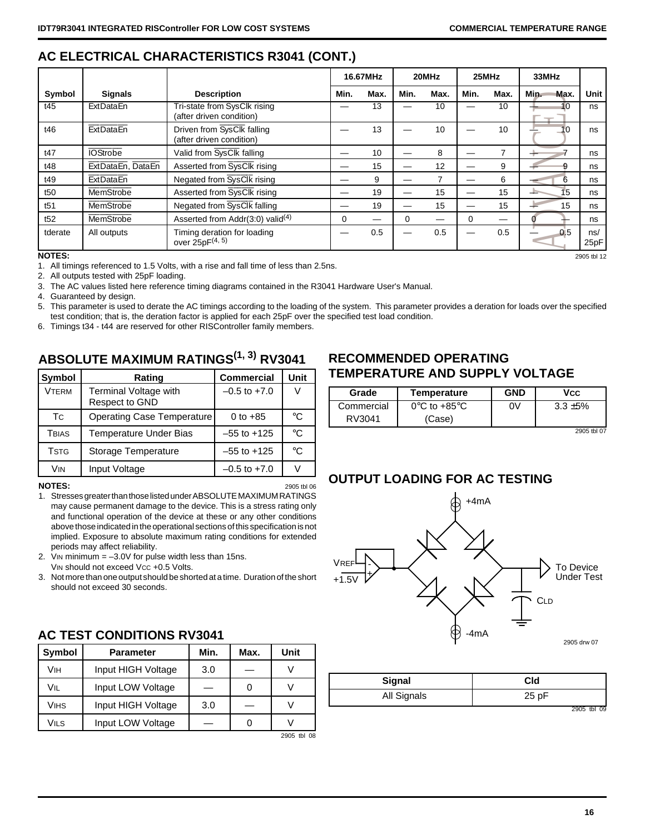# **AC ELECTRICAL CHARACTERISTICS R3041 (CONT.)**

|                 |                   |                                                          |          | 16.67MHz | 20MHz |      | 25MHz |      | 33MHz        |             |
|-----------------|-------------------|----------------------------------------------------------|----------|----------|-------|------|-------|------|--------------|-------------|
| Symbol          | <b>Signals</b>    | <b>Description</b>                                       | Min.     | Max.     | Min.  | Max. | Min.  | Max. | Min.<br>Max. | Unit        |
| t45             | ExtDataEn         | Tri-state from SysClk rising<br>(after driven condition) |          | 13       |       | 10   |       | 10   | 10           | ns          |
| t46             | ExtDataEn         | Driven from SysClk falling<br>(after driven condition)   |          | 13       |       | 10   |       | 10   | 10           | ns          |
| t47             | <b>IOStrobe</b>   | Valid from SysClk falling                                |          | 10       |       | 8    |       | ⇁    |              | ns          |
| t48             | ExtDataEn, DataEn | Asserted from SysClk rising                              |          | 15       |       | 12   |       | 9    | 9            | ns          |
| t49             | <b>ExtDataEn</b>  | Negated from SysClk rising                               |          | 9        |       |      |       | 6    | 6            | ns          |
| t <sub>50</sub> | <b>MemStrobe</b>  | Asserted from SysClk rising                              |          | 19       |       | 15   |       | 15   | 15           | ns          |
| t51             | <b>MemStrobe</b>  | Negated from SysClk falling                              |          | 19       |       | 15   |       | 15   | 15           | ns          |
| t52             | MemStrobe         | Asserted from Addr(3.0) valid $(4)$                      | $\Omega$ |          | 0     |      | 0     |      |              | ns          |
| tderate         | All outputs       | Timing deration for loading<br>over $25pF^{(4, 5)}$      |          | 0.5      |       | 0.5  |       | 0.5  | 0.5          | ns/<br>25pF |
| <b>NOTES:</b>   | 2905 tbl 12       |                                                          |          |          |       |      |       |      |              |             |

1. All timings referenced to 1.5 Volts, with a rise and fall time of less than 2.5ns.

2. All outputs tested with 25pF loading.

3. The AC values listed here reference timing diagrams contained in the R3041 Hardware User's Manual.

4. Guaranteed by design.

5. This parameter is used to derate the AC timings according to the loading of the system. This parameter provides a deration for loads over the specified test condition; that is, the deration factor is applied for each 25pF over the specified test load condition.

6. Timings t34 - t44 are reserved for other RISController family members.

# **ABSOLUTE MAXIMUM RATINGS<sup>(1, 3)</sup> RV3041**

| Symbol        | Rating                                  | <b>Commercial</b> | <b>Unit</b> |
|---------------|-----------------------------------------|-------------------|-------------|
| <b>VTERM</b>  | Terminal Voltage with<br>Respect to GND | $-0.5$ to $+7.0$  |             |
| <b>T</b> C    | <b>Operating Case Temperature</b>       | 0 to $+85$        | °C          |
| Tbias         | Temperature Under Bias                  | $-55$ to $+125$   | °C          |
| Tstg          | Storage Temperature                     | $-55$ to $+125$   | °C          |
| <b>VIN</b>    | Input Voltage                           | $-0.5$ to $+7.0$  |             |
| <b>NOTES:</b> |                                         |                   | 2905 tbl 06 |

- 1. Stresses greater than those listed under ABSOLUTE MAXIMUM RATINGS may cause permanent damage to the device. This is a stress rating only and functional operation of the device at these or any other conditions above those indicated in the operational sections of this specification is not implied. Exposure to absolute maximum rating conditions for extended periods may affect reliability.
- 2. VIN minimum = –3.0V for pulse width less than 15ns. VIN should not exceed Vcc +0.5 Volts.
- 3. Not more than one output should be shorted at a time. Duration of the short
- should not exceed 30 seconds.

| <b>Symbol</b> | <b>Parameter</b>   | Min. | Max. | Unit        |
|---------------|--------------------|------|------|-------------|
| Vıн           | Input HIGH Voltage | 3.0  |      |             |
| Vil           | Input LOW Voltage  |      |      |             |
| <b>VIHS</b>   | Input HIGH Voltage | 3.0  |      |             |
| VILS          | Input LOW Voltage  |      |      |             |
|               |                    |      |      | 2905 tbl 08 |

# **AC TEST CONDITIONS RV3041**

# **RECOMMENDED OPERATING TEMPERATURE AND SUPPLY VOLTAGE**

| Grade      | Temperature                       | <b>GND</b> | Vcc         |
|------------|-----------------------------------|------------|-------------|
| Commercial | $0^{\circ}$ C to +85 $^{\circ}$ C | 0V         | $3.3 + 5\%$ |
| RV3041     | (Case)                            |            |             |
|            |                                   |            | 2905 tbl 07 |

# **OUTPUT LOADING FOR AC TESTING**



| Signal      | Cld            |
|-------------|----------------|
| All Signals | 25 pF          |
|             | 2905 tbl<br>09 |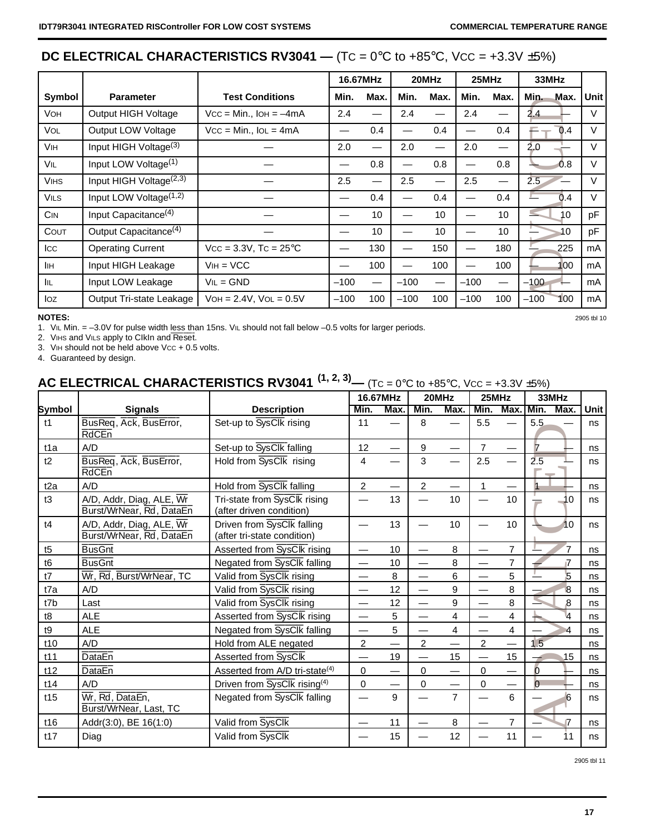# **DC ELECTRICAL CHARACTERISTICS RV3041** —  $(TC = 0^{\circ}C$  to  $+85^{\circ}C$ ,  $VCC = +3.3V \pm 5\%)$

|                       |                                    |                                     |        | 16.67MHz |        | 20MHz             | 25MHz  |      | 33MHz         |        |
|-----------------------|------------------------------------|-------------------------------------|--------|----------|--------|-------------------|--------|------|---------------|--------|
| Symbol                | <b>Parameter</b>                   | <b>Test Conditions</b>              | Min.   | Max.     | Min.   | Max.              | Min.   | Max. | Min.<br>Max.  | Unit   |
| <b>VOH</b>            | Output HIGH Voltage                | $Vcc = Min.,$ IOH = $-4mA$          | 2.4    |          | 2.4    |                   | 2.4    |      | 2.4           |        |
| <b>VOL</b>            | Output LOW Voltage                 | $Vcc = Min., IoL = 4mA$             |        | 0.4      |        | 0.4               |        | 0.4  | 0.4           | V      |
| <b>V<sub>IH</sub></b> | Input HIGH Voltage <sup>(3)</sup>  |                                     | 2.0    |          | 2.0    | $\hspace{0.05cm}$ | 2.0    |      | 2.0           | V      |
| VIL                   | Input LOW Voltage <sup>(1)</sup>   |                                     | –      | 0.8      |        | 0.8               |        | 0.8  | 0.8           | V      |
| <b>VIHS</b>           | Input HIGH Voltage $(2,3)$         |                                     | 2.5    |          | 2.5    |                   | 2.5    |      | 2.5           | $\vee$ |
| <b>VILS</b>           | Input LOW Voltage <sup>(1,2)</sup> |                                     |        | 0.4      |        | 0.4               |        | 0.4  | 0.4           | V      |
| <b>CIN</b>            | Input Capacitance <sup>(4)</sup>   |                                     |        | 10       |        | 10                |        | 10   | 10            | pF     |
| COUT                  | Output Capacitance <sup>(4)</sup>  |                                     |        | 10       | —      | 10                |        | 10   | 10            | pF     |
| <b>ICC</b>            | <b>Operating Current</b>           | $Vcc = 3.3V$ , Tc = 25 $^{\circ}$ C |        | 130      |        | 150               |        | 180  | 225           | mA     |
| IІн                   | Input HIGH Leakage                 | $VIH = VCC$                         |        | 100      |        | 100               |        | 100  | 100           | mA     |
| IIL.                  | Input LOW Leakage                  | $VIL = GND$                         | $-100$ |          | $-100$ |                   | $-100$ |      | $-100$        | mA     |
| loz                   | Output Tri-state Leakage           | $VOH = 2.4V$ , $VOL = 0.5V$         | $-100$ | 100      | $-100$ | 100               | $-100$ | 100  | $-100$<br>100 | mA     |

### **NOTES:** 2905 tbl 10

1. VIL Min. = -3.0V for pulse width less than 15ns. VIL should not fall below -0.5 volts for larger periods.

2. ViHs and ViLs apply to CIkIn and Reset.

3. VIH should not be held above Vcc + 0.5 volts.

4. Guaranteed by design.

# **AC ELECTRICAL CHARACTERISTICS RV3041<sup>(1, 2, 3)</sup>— (Tc = 0°C to +85°C, Vcc = +3.3V ±5%)**

|                  |                                                                   |                                                           | 16.67MHz                      |                 | 20MHz          |                | 25MHz          |                | 33MHz          |      |
|------------------|-------------------------------------------------------------------|-----------------------------------------------------------|-------------------------------|-----------------|----------------|----------------|----------------|----------------|----------------|------|
| Symbol           | <b>Signals</b>                                                    | <b>Description</b>                                        | Min.                          | Max.            | Min.           | Max.           | Min.           | Max.           | Min.<br>Max.   | Unit |
| t1               | BusReq, Ack, BusError,<br><b>RdCEn</b>                            | Set-up to SysClk rising                                   | 11                            |                 | 8              |                | 5.5            |                | 5.5            | ns   |
| t <sub>1</sub> a | A/D                                                               | Set-up to SysClk falling                                  | 12                            |                 | 9              |                | $\overline{7}$ |                | $\overline{7}$ | ns   |
| t2               | BusReq, Ack, BusError,<br><b>RdCEn</b>                            | Hold from SysClk rising                                   | 4                             |                 | 3              |                | 2.5            |                | 2.5            | ns   |
| t2a              | A/D                                                               | Hold from SysClk falling                                  | $\overline{2}$                |                 | $\overline{2}$ |                | 1              |                |                | ns   |
| t3               | A/D, Addr, Diag, ALE, Wr<br>Burst/WrNear, Rd, DataEn              | Tri-state from SysClk rising<br>(after driven condition)  |                               | 13              |                | 10             |                | 10             | 10             | ns   |
| t4               | A/D, Addr, Diag, ALE, $\overline{Wr}$<br>Burst/WrNear, Rd, DataEn | Driven from SysClk falling<br>(after tri-state condition) |                               | 13              |                | 10             |                | 10             | 10             | ns   |
| t5               | <b>BusGnt</b>                                                     | Asserted from SysClk rising                               |                               | 10 <sup>1</sup> |                | 8              |                | 7              | 7              | ns   |
| t <sub>6</sub>   | <b>BusGnt</b>                                                     | Negated from SysClk falling                               | $\overbrace{\phantom{12332}}$ | 10              |                | 8              |                | 7              |                | ns   |
| t7               | Wr, Rd, Burst/WrNear, TC                                          | Valid from SysClk rising                                  |                               | 8               |                | 6              |                | 5              | 5              | ns   |
| t7a              | A/D                                                               | Valid from SysClk rising                                  |                               | 12              |                | 9              |                | 8              | 8              | ns   |
| t7b              | Last                                                              | Valid from SysClk rising                                  | $\overline{\phantom{0}}$      | 12              |                | 9              |                | 8              | 8              | ns   |
| t8               | <b>ALE</b>                                                        | Asserted from SysClk rising                               |                               | 5               |                | 4              |                | 4              | 4              | ns   |
| t9               | <b>ALE</b>                                                        | Negated from SysClk falling                               |                               | 5               |                | $\overline{4}$ |                | 4              | 4              | ns   |
| t10              | A/D                                                               | Hold from ALE negated                                     | $\overline{c}$                |                 | 2              |                | $\overline{2}$ |                | 1.5            | ns   |
| t11              | <b>DataEn</b>                                                     | Asserted from SysClk                                      |                               | 19              |                | 15             |                | 15             | 15             | ns   |
| t12              | <b>DataEn</b>                                                     | Asserted from A/D tri-state <sup>(4)</sup>                | $\Omega$                      |                 | $\Omega$       |                | $\Omega$       |                | $\overline{0}$ | ns   |
| t14              | A/D                                                               | Driven from SysClk rising <sup>(4)</sup>                  | $\mathbf 0$                   |                 | 0              |                | $\mathbf 0$    |                | $\overline{0}$ | ns   |
| t15              | Wr, Rd, DataEn,<br>Burst/WrNear, Last, TC                         | Negated from SysClk falling                               |                               | 9               |                | $\overline{7}$ |                | 6              | 6              | ns   |
| t16              | Addr(3:0), BE 16(1:0)                                             | Valid from SysClk                                         |                               | 11              |                | 8              |                | $\overline{7}$ | 7              | ns   |
| t17              | Diag                                                              | Valid from SysClk                                         |                               | 15              |                | 12             |                | 11             | 11             | ns   |

2905 tbl 11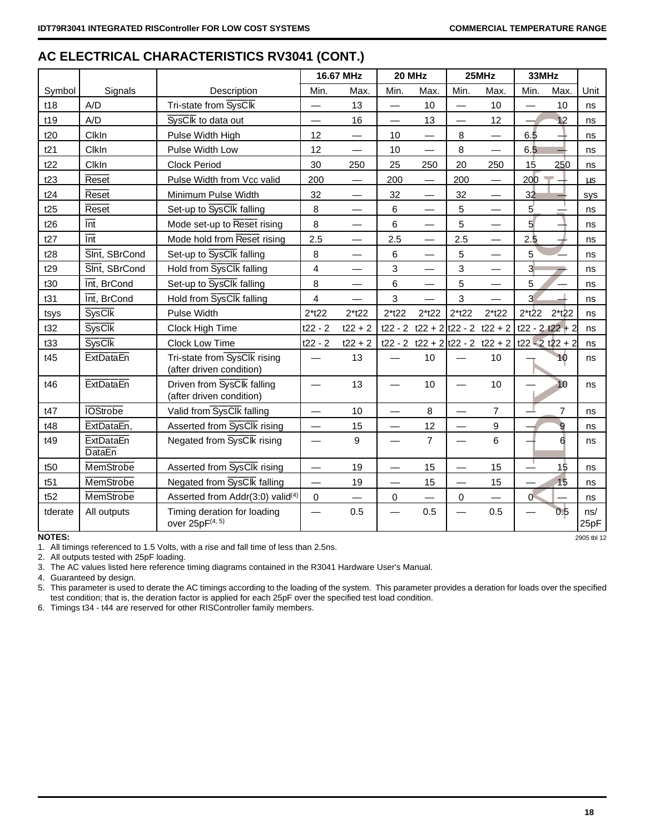|                 |                                   |                                                          |                          | 16.67 MHz                | 20 MHz                   |                                 |             | 25MHz                    | 33MHz             |                          |             |
|-----------------|-----------------------------------|----------------------------------------------------------|--------------------------|--------------------------|--------------------------|---------------------------------|-------------|--------------------------|-------------------|--------------------------|-------------|
| Symbol          | Signals                           | Description                                              | Min.                     | Max.                     | Min.                     | Max.                            | Min.        | Max.                     | Min.              | Max.                     | Unit        |
| t18             | A/D                               | Tri-state from SysClk                                    |                          | 13                       | $\overline{\phantom{0}}$ | 10                              |             | 10                       |                   | 10                       | ns          |
| t19             | A/D                               | SysClk to data out                                       |                          | 16                       |                          | 13                              |             | 12                       |                   | 12                       | ns          |
| t20             | ClkIn                             | Pulse Width High                                         | 12                       |                          | 10                       |                                 | 8           |                          | 6.5               |                          | ns          |
| t21             | ClkIn                             | Pulse Width Low                                          | 12                       |                          | 10                       |                                 | 8           | $\overline{\phantom{0}}$ | 6.5               |                          | ns          |
| t22             | ClkIn                             | <b>Clock Period</b>                                      | 30                       | 250                      | 25                       | 250                             | 20          | 250                      | 15                | 250                      | ns          |
| t23             | Reset                             | Pulse Width from Vcc valid                               | 200                      |                          | 200                      |                                 | 200         |                          | 200               |                          | μs          |
| t24             | <b>Reset</b>                      | Minimum Pulse Width                                      | 32                       | $\overline{\phantom{m}}$ | 32                       |                                 | 32          |                          | 32                |                          | <b>SVS</b>  |
| t25             | Reset                             | Set-up to SysClk falling                                 | 8                        |                          | 6                        |                                 | 5           |                          | 5 <sup>′</sup>    | $\overline{a}$           | ns          |
| t26             | $\overline{\ln t}$                | Mode set-up to Reset rising                              | 8                        |                          | 6                        |                                 | 5           |                          | 5 <sup>1</sup>    |                          | ns          |
| t27             | $\overline{\ln t}$                | Mode hold from Reset rising                              | 2.5                      |                          | 2.5                      |                                 | 2.5         |                          | 2.5               | $\overline{\phantom{a}}$ | ns          |
| t28             | Sint, SBrCond                     | Set-up to SysClk falling                                 | 8                        |                          | 6                        |                                 | 5           |                          | 5                 |                          | ns          |
| t29             | SInt, SBrCond                     | Hold from SysClk falling                                 | 4                        |                          | 3                        |                                 | 3           | $\overline{\phantom{0}}$ | 3 <sup>1</sup>    |                          | ns          |
| t30             | Int, BrCond                       | Set-up to SysClk falling                                 | 8                        | $\overline{\phantom{0}}$ | 6                        |                                 | 5           |                          | 5                 |                          | ns          |
| t31             | Int, BrCond                       | Hold from SysClk falling                                 | $\overline{\mathbf{4}}$  |                          | 3                        |                                 | 3           |                          | $\overline{3}$    |                          | ns          |
| tsys            | <b>SysClk</b>                     | Pulse Width                                              | $2*122$                  | $2*122$                  | $2*122$                  | $2*122$                         | $2*122$     | $2*122$                  | $2*122$           | $2*122$                  | ns          |
| t32             | <b>SysClk</b>                     | Clock High Time                                          | $t22 - 2$                | $t22 + 2$                |                          | t22 - 2 t22 + 2 t22 - 2 t22 + 2 |             |                          | $t22 - 2 t22 + 2$ |                          | ns          |
| t33             | <b>SysClk</b>                     | Clock Low Time                                           | $t22 - 2$                | $t22 + 2$                |                          | t22 - 2 t22 + 2 t22 - 2 t22 + 2 |             |                          | $t22 - 2 t22 + 2$ |                          | ns          |
| t45             | <b>ExtDataEn</b>                  | Tri-state from SysClk rising<br>(after driven condition) |                          | 13                       |                          | 10                              |             | 10                       |                   | 10                       | ns          |
| t46             | <b>ExtDataEn</b>                  | Driven from SysClk falling<br>(after driven condition)   |                          | 13                       |                          | 10                              |             | 10                       |                   | 10                       | ns          |
| t47             | <b>IOStrobe</b>                   | Valid from SysClk falling                                |                          | 10                       |                          | 8                               |             | $\overline{7}$           |                   | $\overline{7}$           | ns          |
| t48             | ExtDataEn,                        | Asserted from SysClk rising                              | $\overline{\phantom{0}}$ | 15                       |                          | 12                              |             | 9                        |                   | 9                        | ns          |
| t49             | <b>ExtDataEn</b><br><b>DataEn</b> | Negated from SysClk rising                               |                          | 9                        |                          | $\overline{7}$                  |             | 6                        |                   | 6                        | ns          |
| t <sub>50</sub> | MemStrobe                         | Asserted from SysClk rising                              | $\overline{\phantom{0}}$ | 19                       | —                        | 15                              |             | 15                       |                   | 15                       | ns          |
| t51             | MemStrobe                         | Negated from SysClk falling                              | $\overline{\phantom{0}}$ | 19                       | $\overline{\phantom{0}}$ | 15                              |             | 15                       |                   | 15                       | ns          |
| t52             | MemStrobe                         | Asserted from Addr(3:0) valid <sup>(4)</sup>             | 0                        |                          | $\mathbf 0$              |                                 | $\mathbf 0$ |                          | $\sigma$          |                          | ns          |
| tderate         | All outputs                       | Timing deration for loading<br>over 25pF(4, 5)           |                          | 0.5                      |                          | 0.5                             |             | 0.5                      |                   | 0.5                      | ns/<br>25pF |
| <b>NOTES:</b>   |                                   |                                                          |                          |                          |                          |                                 |             |                          |                   |                          | 2905 tbl 12 |

# **AC ELECTRICAL CHARACTERISTICS RV3041 (CONT.)**

1. All timings referenced to 1.5 Volts, with a rise and fall time of less than 2.5ns.

2. All outputs tested with 25pF loading.

3. The AC values listed here reference timing diagrams contained in the R3041 Hardware User's Manual.

4. Guaranteed by design.

5. This parameter is used to derate the AC timings according to the loading of the system. This parameter provides a deration for loads over the specified test condition; that is, the deration factor is applied for each 25pF over the specified test load condition.

6. Timings t34 - t44 are reserved for other RISController family members.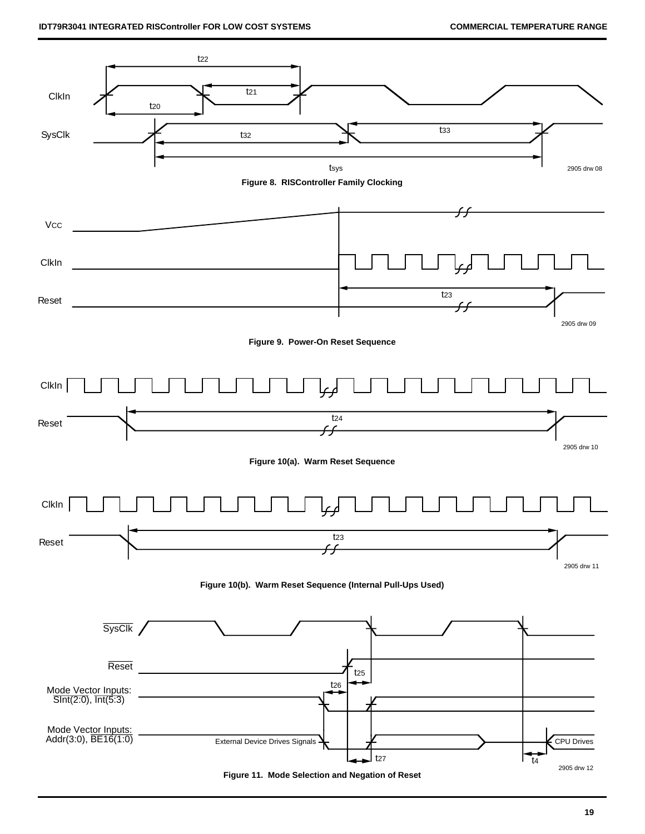

**Figure 11. Mode Selection and Negation of Reset**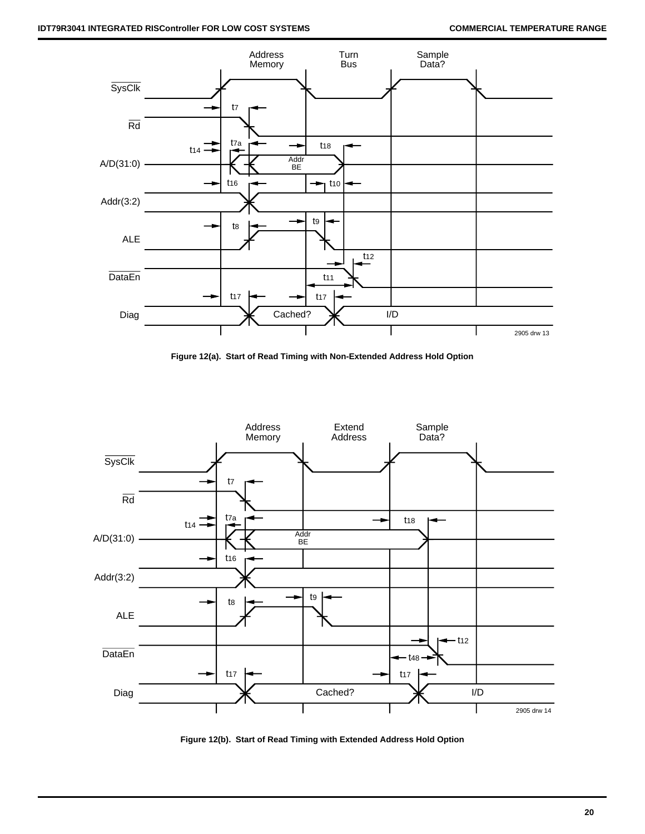

**Figure 12(a). Start of Read Timing with Non-Extended Address Hold Option**



**Figure 12(b). Start of Read Timing with Extended Address Hold Option**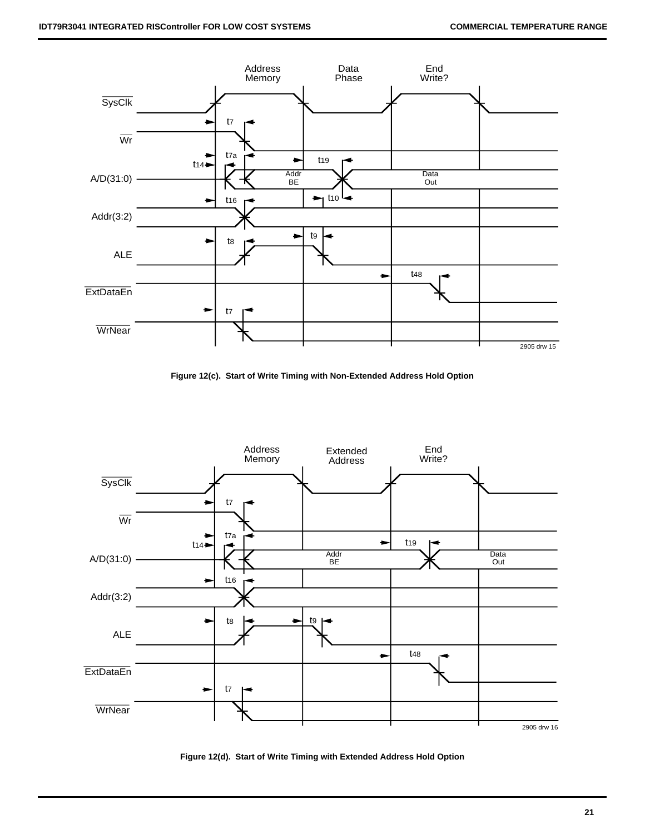

**Figure 12(c). Start of Write Timing with Non-Extended Address Hold Option**



**Figure 12(d). Start of Write Timing with Extended Address Hold Option**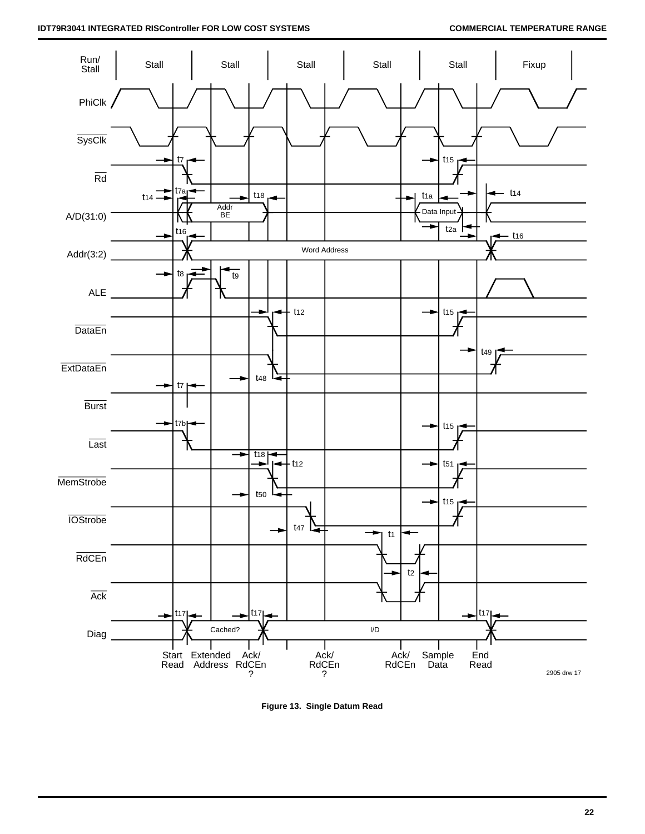

**Figure 13. Single Datum Read**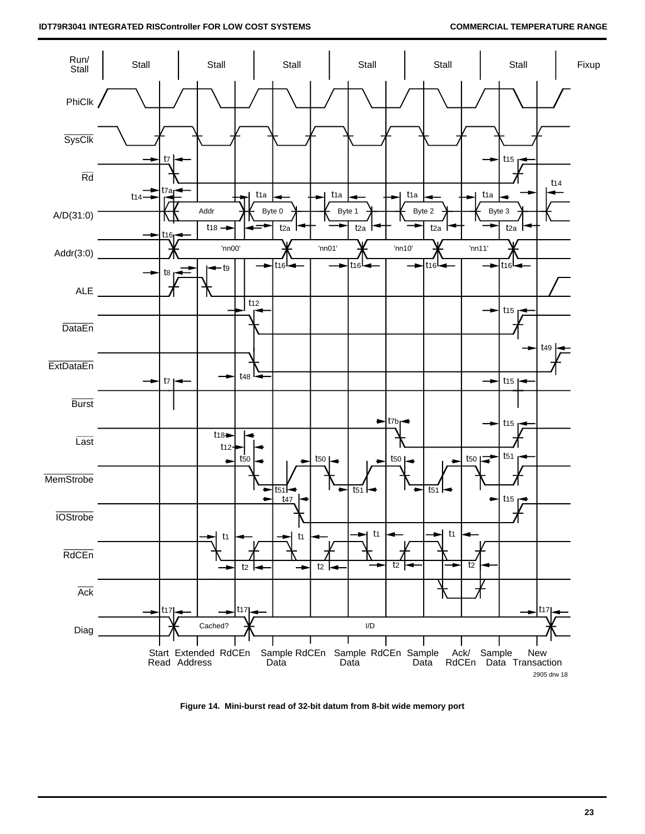

**Figure 14. Mini-burst read of 32-bit datum from 8-bit wide memory port**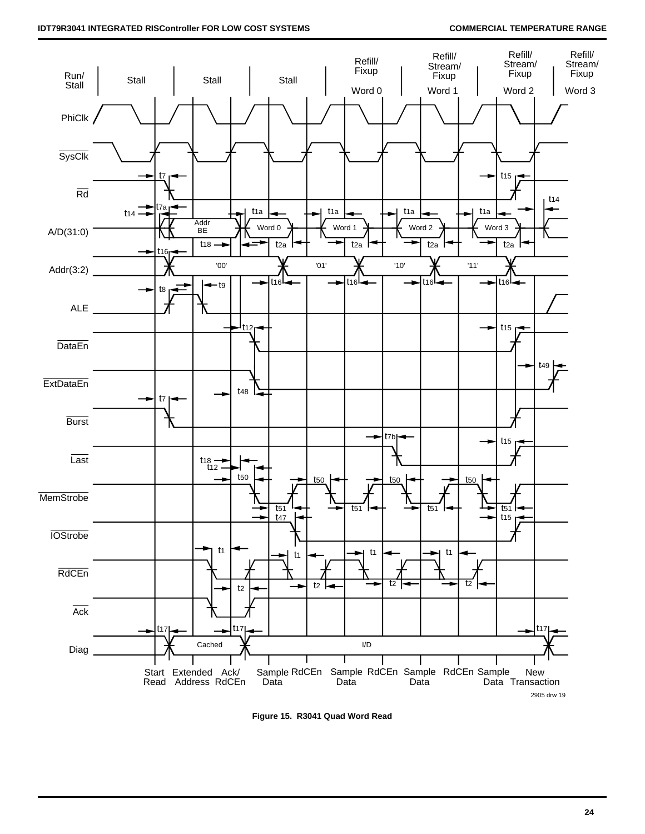

**Figure 15. R3041 Quad Word Read**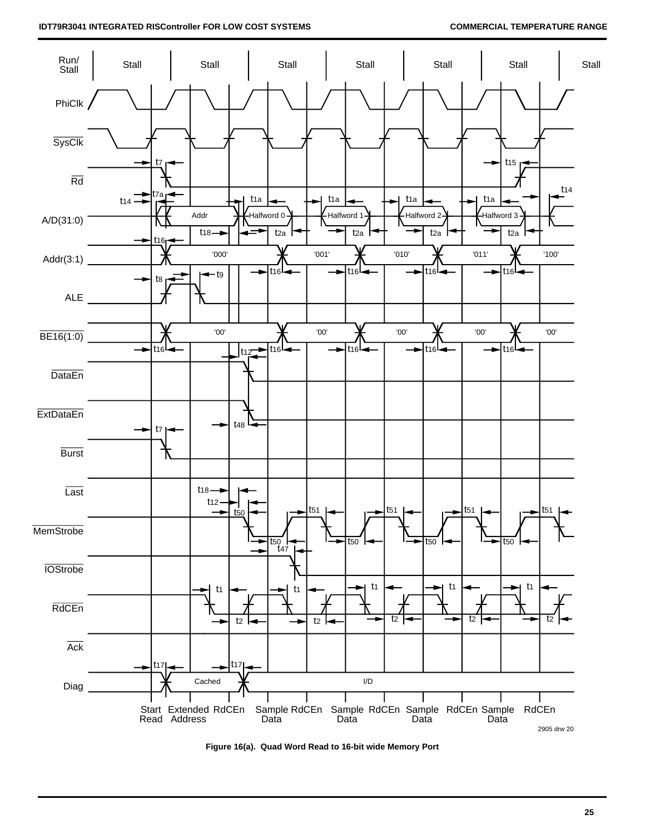

**Figure 16(a). Quad Word Read to 16-bit wide Memory Port**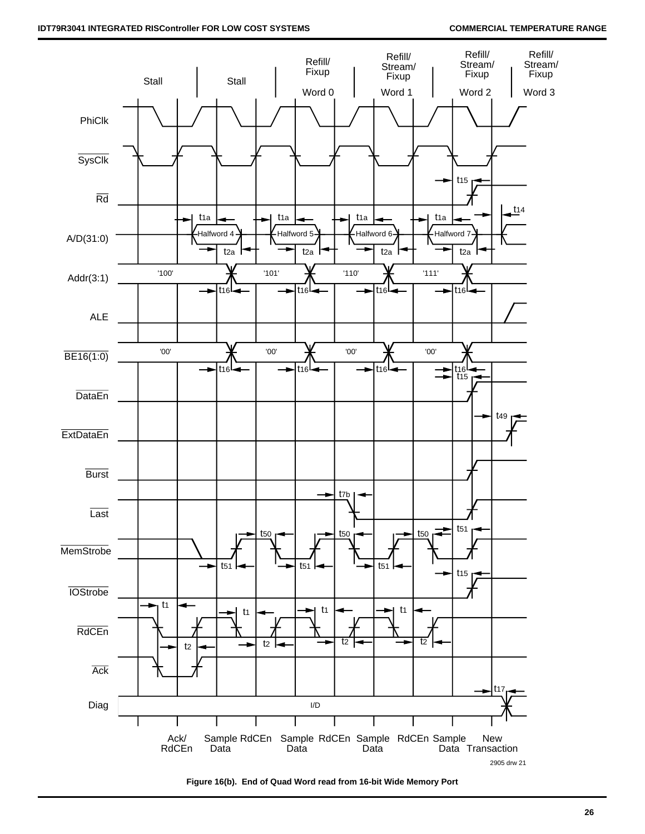

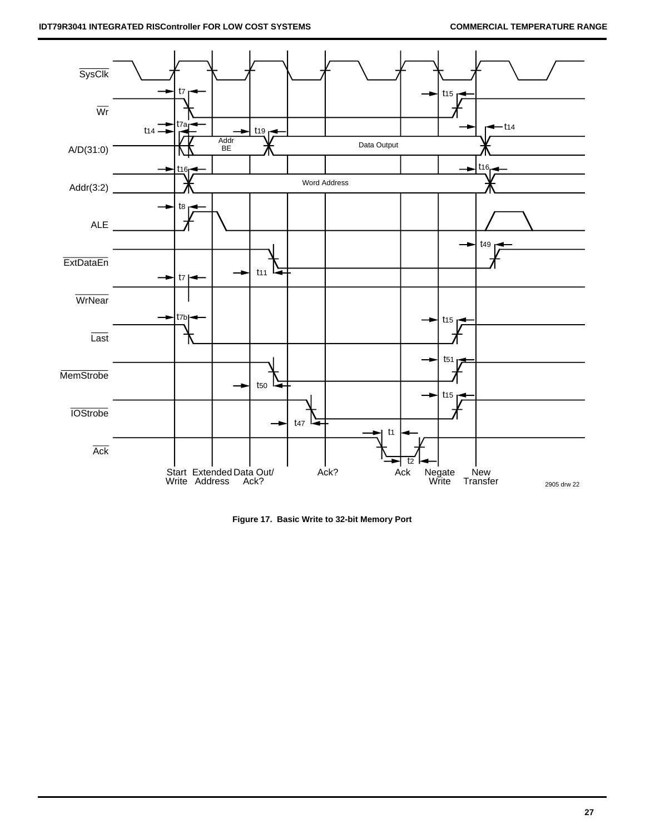

**Figure 17. Basic Write to 32-bit Memory Port**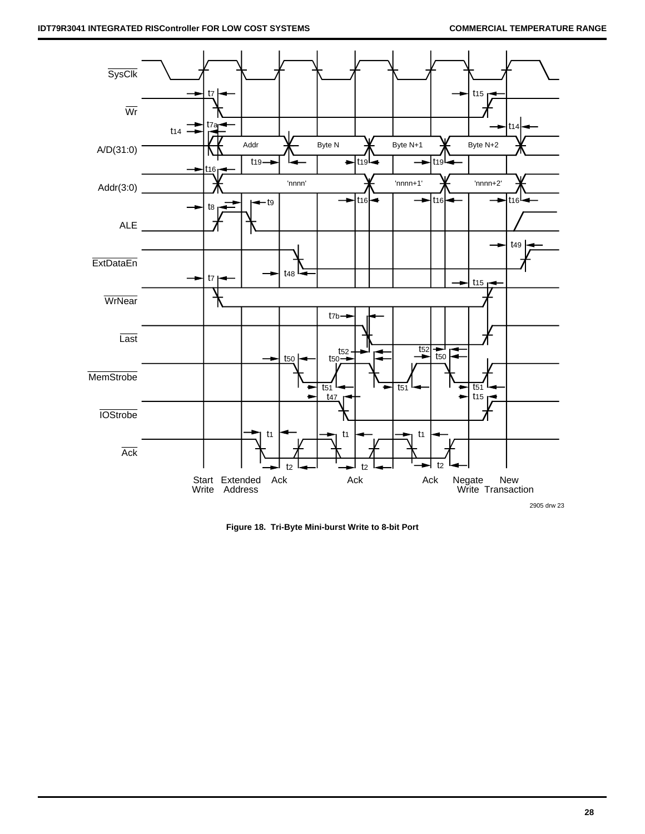

**Figure 18. Tri-Byte Mini-burst Write to 8-bit Port**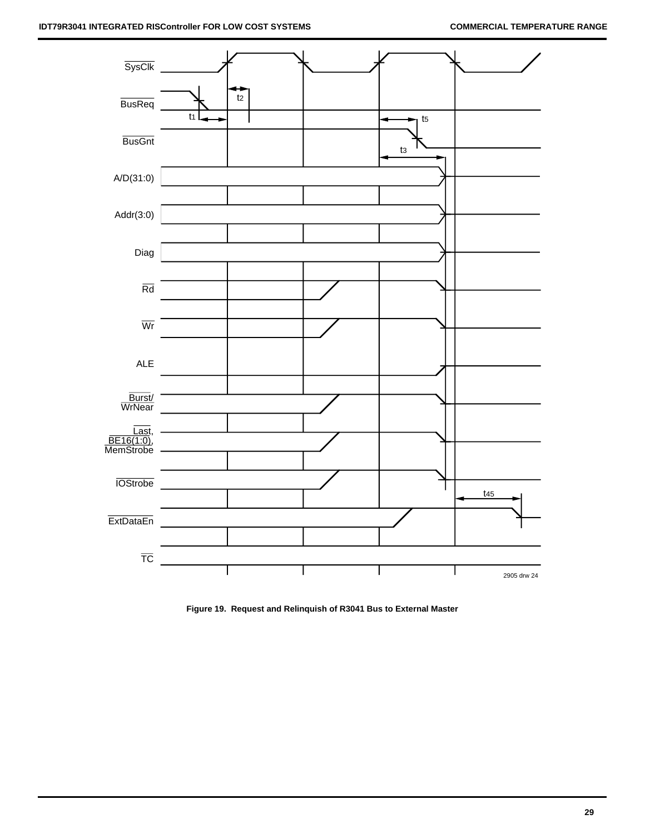

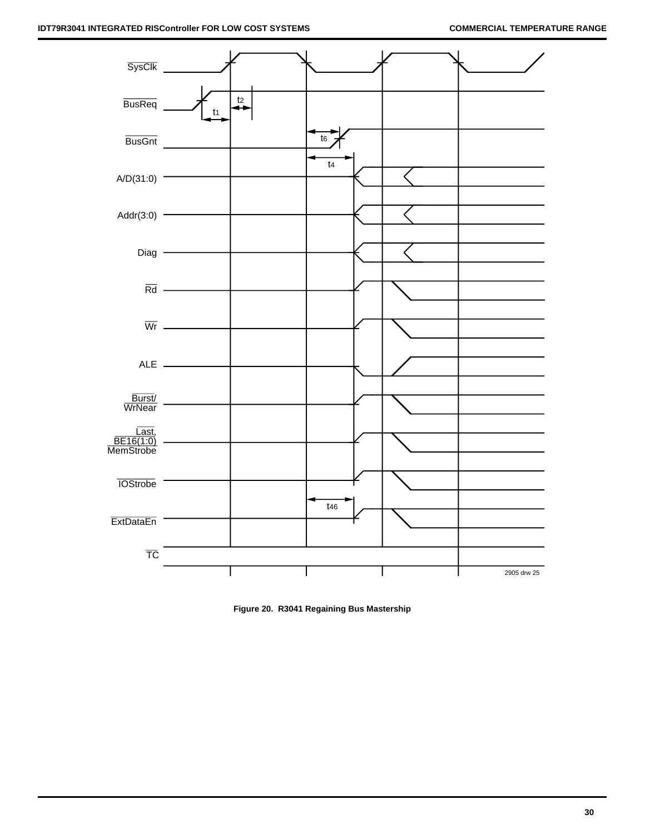

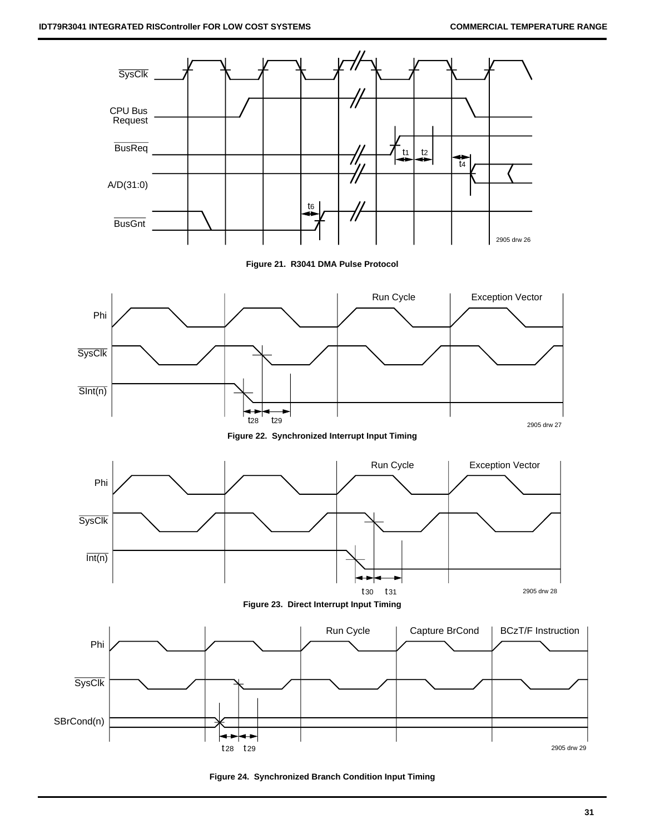

**Figure 24. Synchronized Branch Condition Input Timing**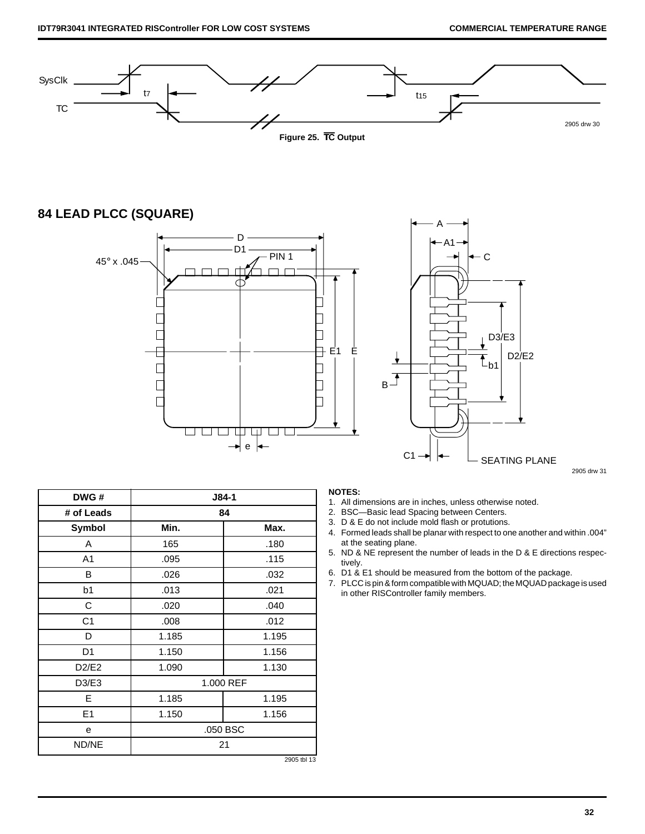

# **84 LEAD PLCC (SQUARE)**





2905 drw 31

| DWG#           |          | J84-1       |  |
|----------------|----------|-------------|--|
| # of Leads     | 84       |             |  |
| <b>Symbol</b>  | Min.     | Max.        |  |
| Α              | 165      | .180        |  |
| A1             | .095     | .115        |  |
| В              | .026     | .032        |  |
| b1             | .013     | .021        |  |
| С              | .020     | .040        |  |
| C <sub>1</sub> | .008     | .012        |  |
| D              | 1.185    | 1.195       |  |
| D1             | 1.150    | 1.156       |  |
| D2/E2          | 1.090    | 1.130       |  |
| D3/E3          |          | 1.000 REF   |  |
| E              | 1.185    | 1.195       |  |
| Ε1             | 1.150    | 1.156       |  |
| e              | .050 BSC |             |  |
| ND/NE          |          | 21          |  |
|                |          | 2905 tbl 13 |  |

### **NOTES:**

- 1. All dimensions are in inches, unless otherwise noted.
- 2. BSC—Basic lead Spacing between Centers.
- 3. D & E do not include mold flash or protutions.
- 4. Formed leads shall be planar with respect to one another and within .004" at the seating plane.
- 5. ND & NE represent the number of leads in the D & E directions respectively.
- 6. D1 & E1 should be measured from the bottom of the package.
- 7. PLCC is pin & form compatible with MQUAD; the MQUAD package is used in other RISController family members.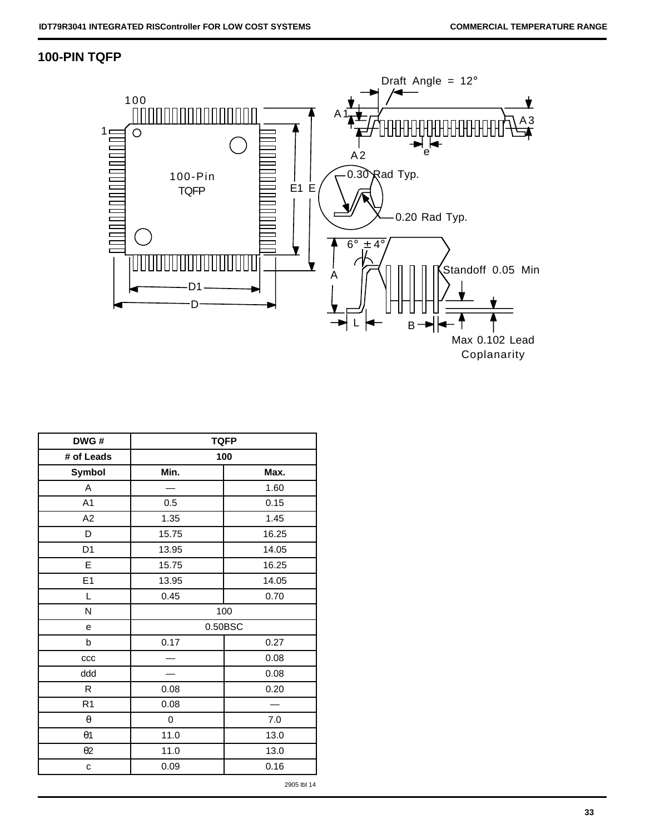# **100-PIN TQFP**



| DWG#           | <b>TQFP</b> |         |  |  |  |
|----------------|-------------|---------|--|--|--|
| # of Leads     |             | 100     |  |  |  |
| Symbol         | Min.        | Max.    |  |  |  |
| Α              |             | 1.60    |  |  |  |
| A <sub>1</sub> | 0.5         | 0.15    |  |  |  |
| A <sub>2</sub> | 1.35        | 1.45    |  |  |  |
| D              | 15.75       | 16.25   |  |  |  |
| D <sub>1</sub> | 13.95       | 14.05   |  |  |  |
| E              | 15.75       | 16.25   |  |  |  |
| E <sub>1</sub> | 13.95       | 14.05   |  |  |  |
| L              | 0.45        | 0.70    |  |  |  |
| N              |             | 100     |  |  |  |
| е              |             | 0.50BSC |  |  |  |
| b              | 0.17        | 0.27    |  |  |  |
| ccc            |             | 0.08    |  |  |  |
| ddd            |             | 0.08    |  |  |  |
| R              | 0.08        | 0.20    |  |  |  |
| R <sub>1</sub> | 0.08        |         |  |  |  |
| $\theta$       | 0           | 7.0     |  |  |  |
| $\theta$ 1     | 11.0        | 13.0    |  |  |  |
| $\theta$ 2     | 11.0        | 13.0    |  |  |  |
| С              | 0.09        | 0.16    |  |  |  |

2905 tbl 14